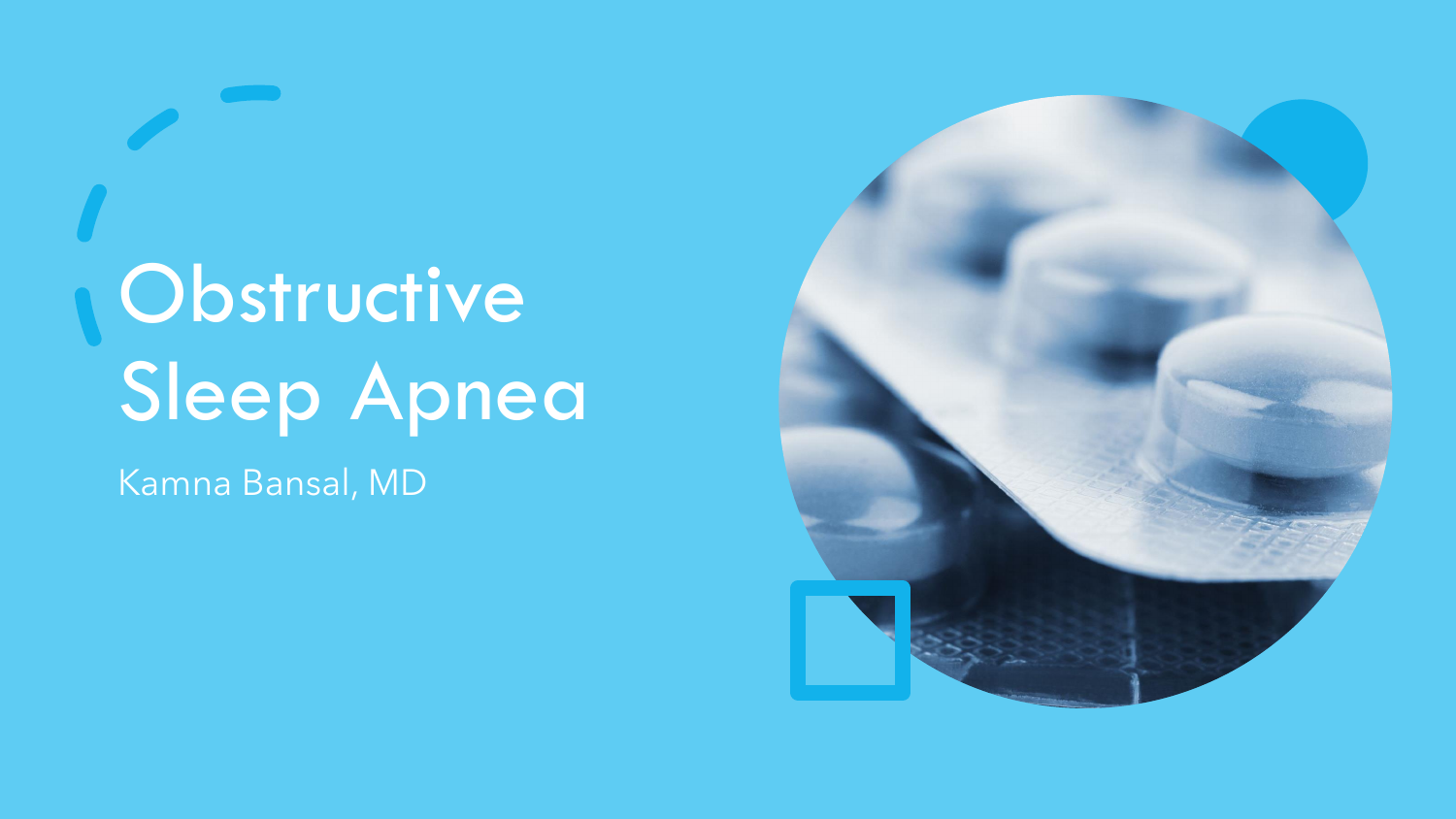# **Obstructive** Sleep Apnea

Kamna Bansal, MD

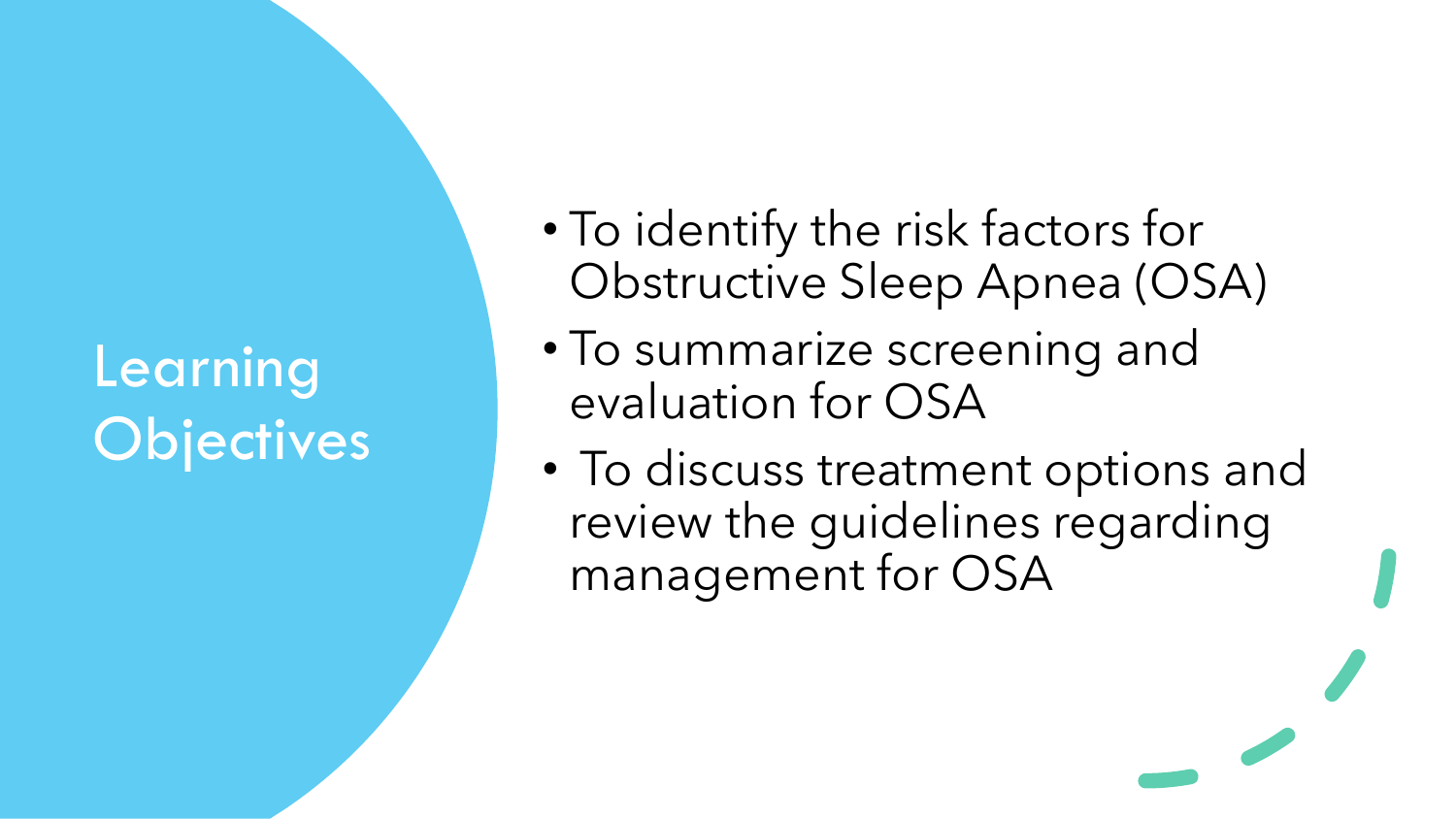Learning **Objectives** 

- To identify the risk factors for Obstructive Sleep Apnea (OSA)
- To summarize screening and evaluation for OSA
- To discuss treatment options and review the guidelines regarding management for OSA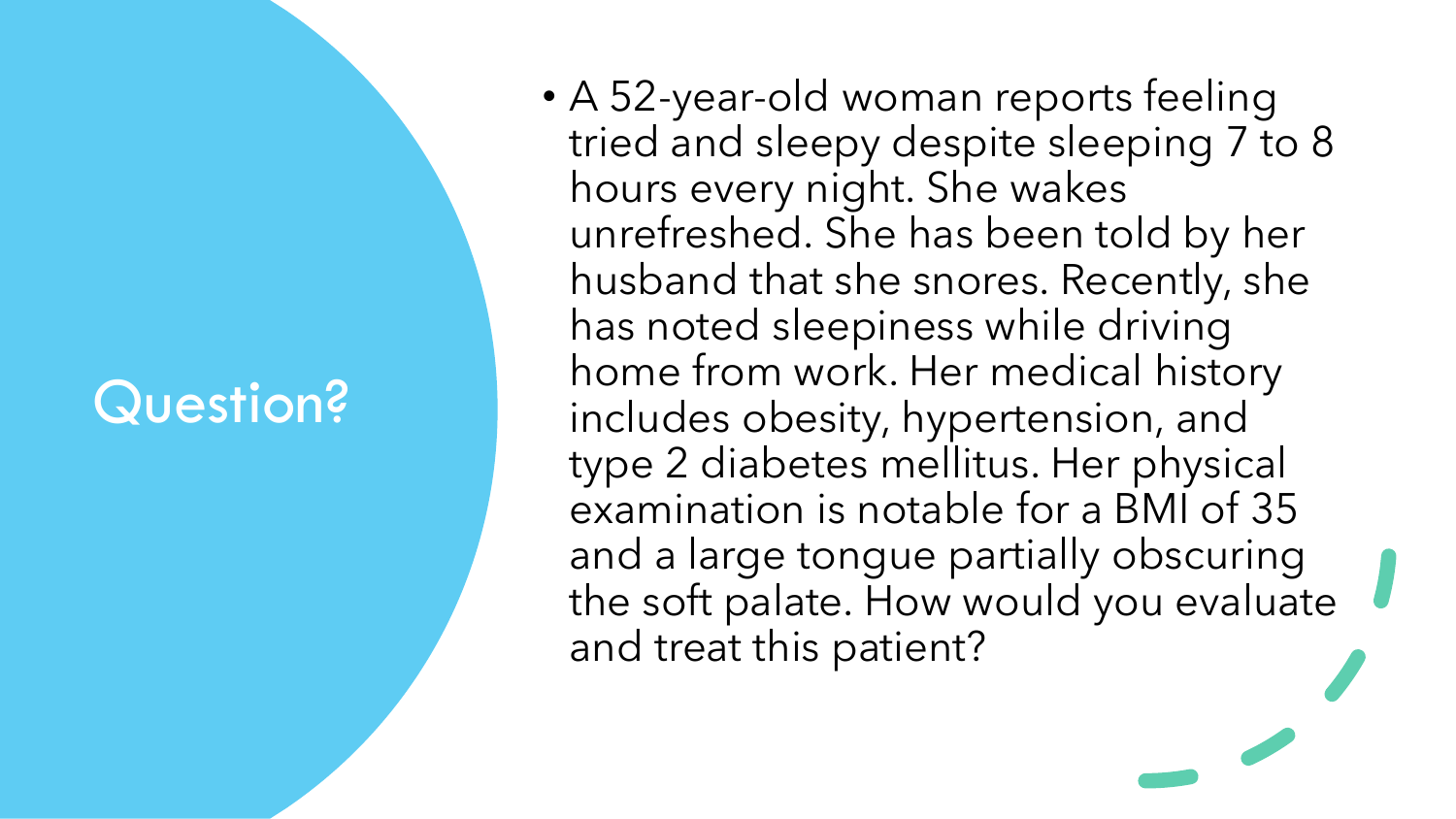#### Question?

• A 52-year-old woman reports feeling tried and sleepy despite sleeping 7 to 8 hours every night. She wakes unrefreshed. She has been told by her husband that she snores. Recently, she has noted sleepiness while driving home from work. Her medical history includes obesity, hypertension, and type 2 diabetes mellitus. Her physical examination is notable for a BMI of 35 and a large tongue partially obscuring the soft palate. How would you evaluate and treat this patient?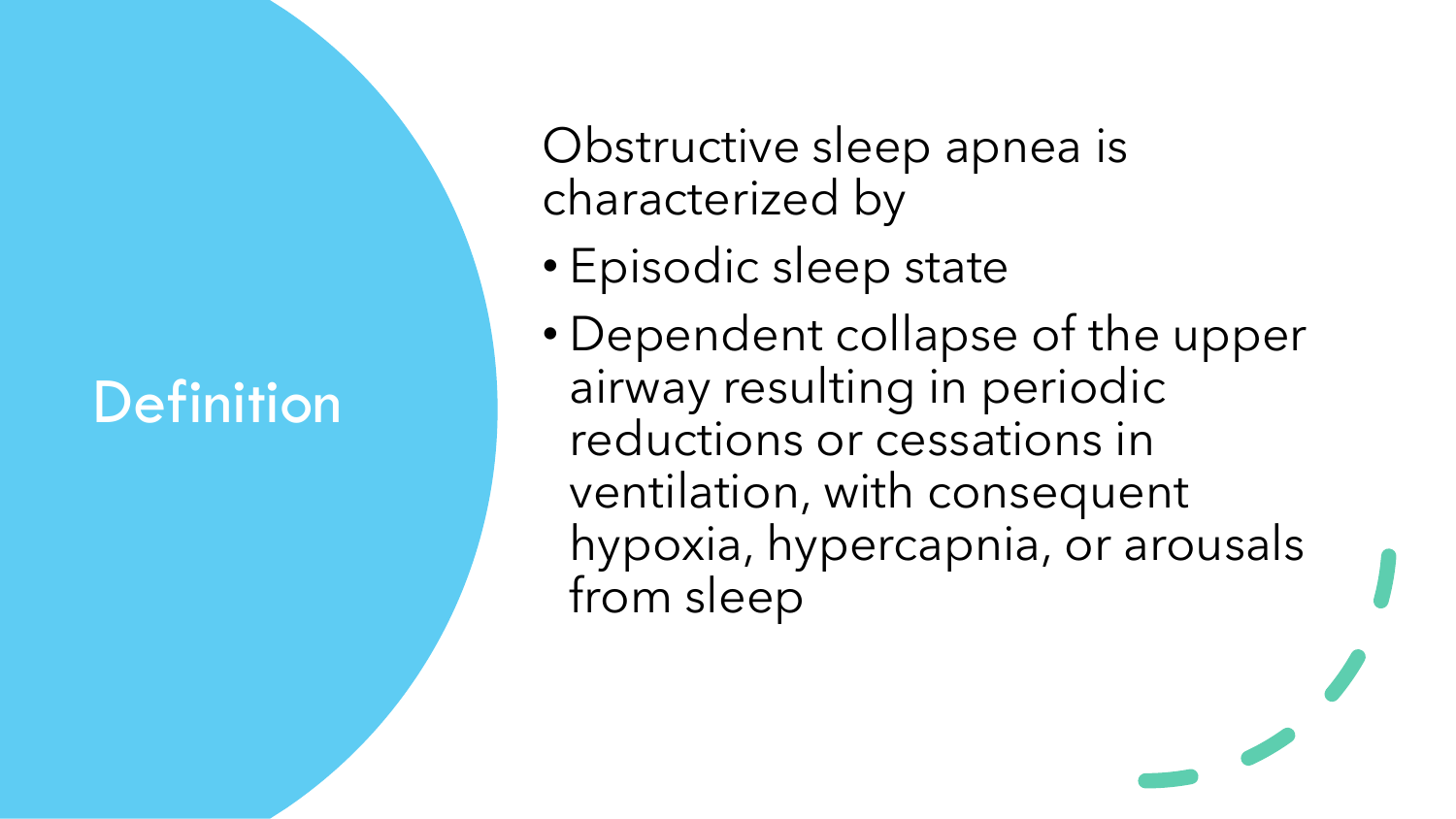#### **Definition**

Obstructive sleep apnea is characterized by

- Episodic sleep state
- Dependent collapse of the upper airway resulting in periodic reductions or cessations in ventilation, with consequent hypoxia, hypercapnia, or arousals from sleep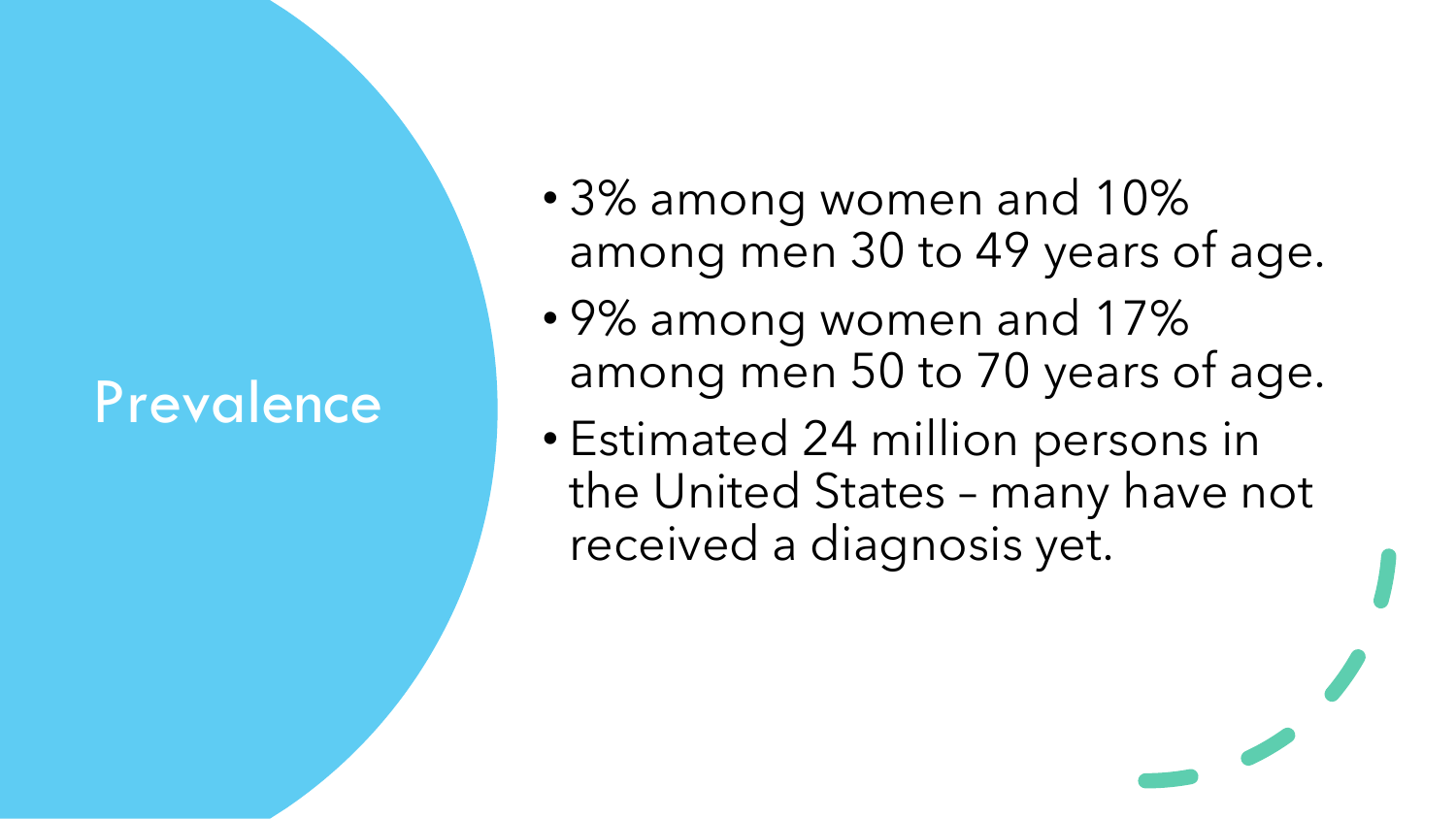#### Prevalence

- 3% among women and 10% among men 30 to 49 years of age.
- 9% among women and 17% among men 50 to 70 years of age.
- Estimated 24 million persons in the United States – many have not received a diagnosis yet.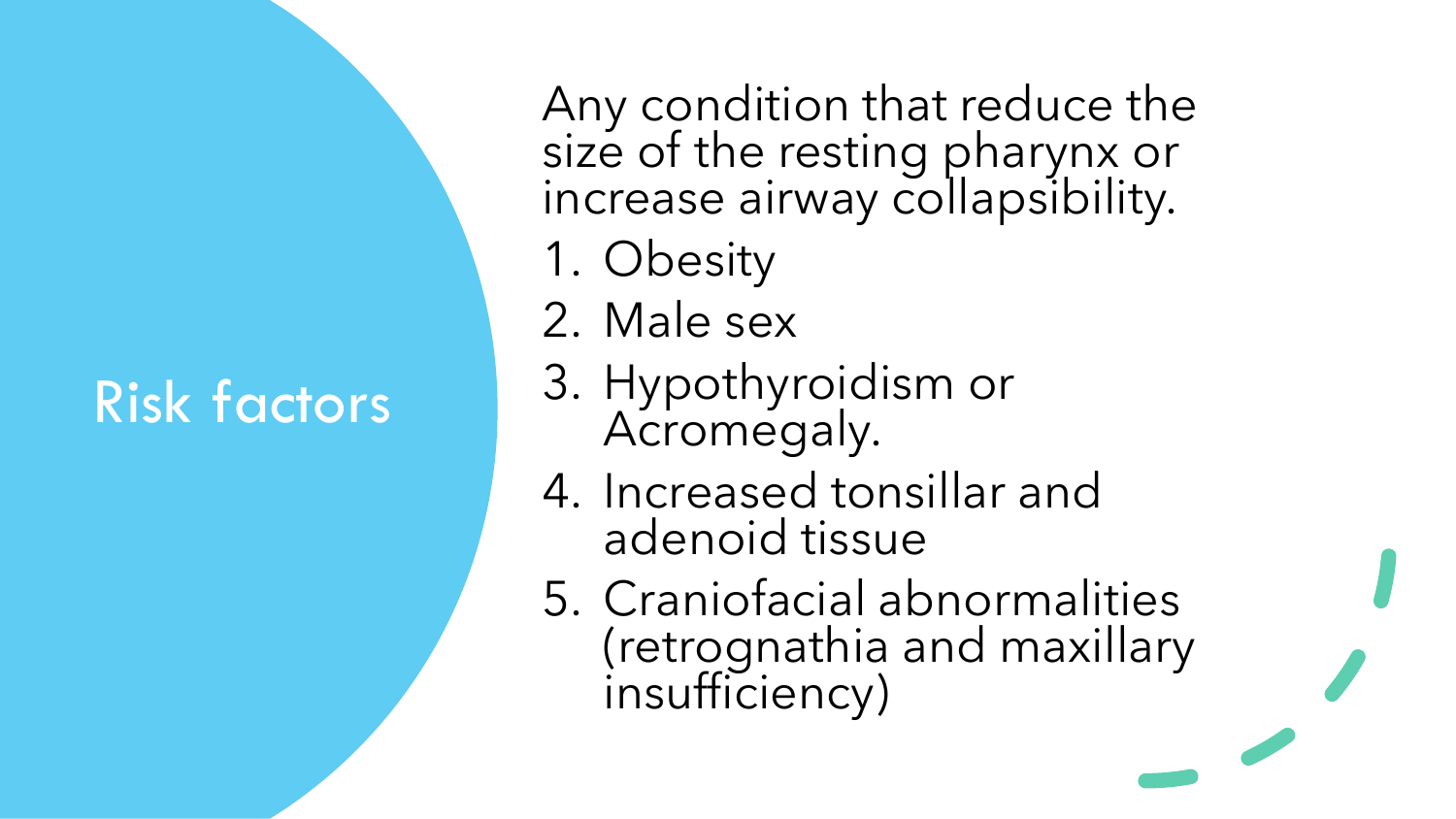## Risk factors

Any condition that reduce the size of the resting pharynx or increase airway collapsibility.

- 1. Obesity
- 2. Male sex
- 3. Hypothyroidism or Acromegaly.
- 4. Increased tonsillar and adenoid tissue
- 5. Craniofacial abnormalities (retrognathia and maxillary insufficiency)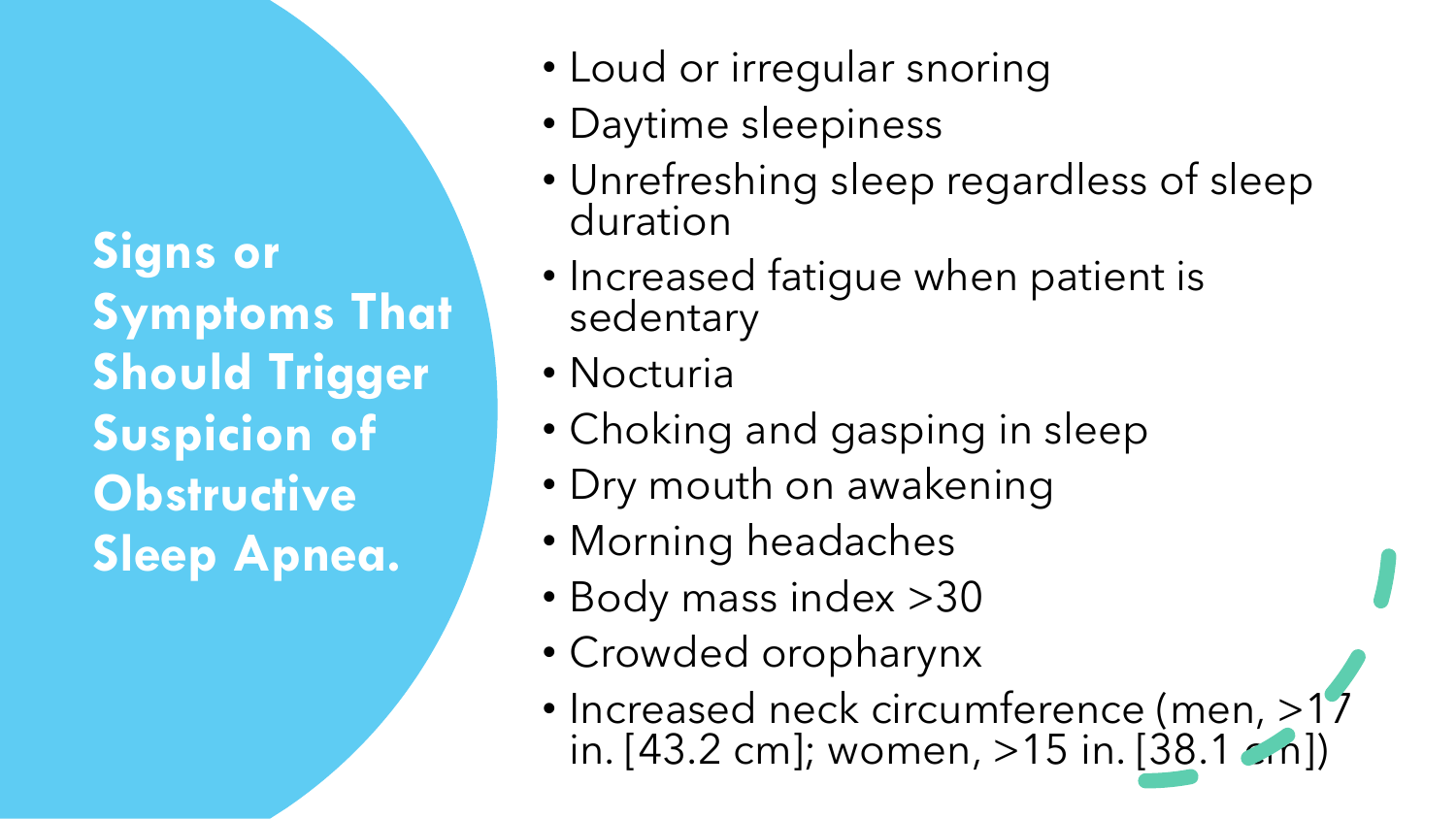**Signs or Symptoms That Should Trigger Suspicion of Obstructive Sleep Apnea.**

- Loud or irregular snoring
- Daytime sleepiness
- Unrefreshing sleep regardless of sleep duration
- Increased fatigue when patient is sedentary
- Nocturia
- Choking and gasping in sleep
- Dry mouth on awakening
- Morning headaches
- Body mass index >30
- Crowded oropharynx
- Increased neck circumference (men, >17 in.  $[43.2 \text{ cm}]$ ; women, >15 in.  $[38.1 \text{ cm}]$ )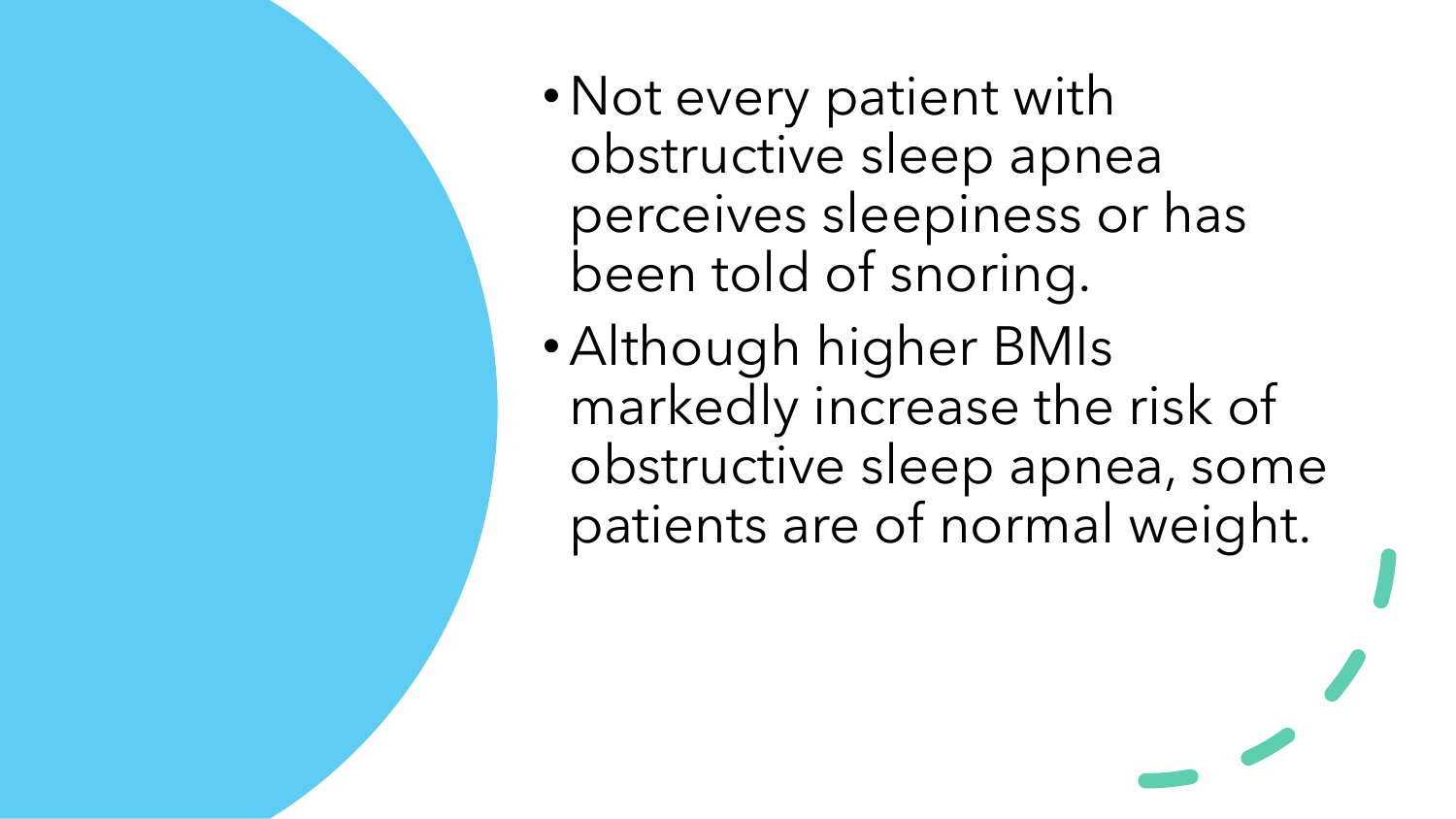- Not every patient with obstructive sleep apnea perceives sleepiness or has been told of snoring.
- Although higher BMIs markedly increase the risk of obstructive sleep apnea, some patients are of normal weight.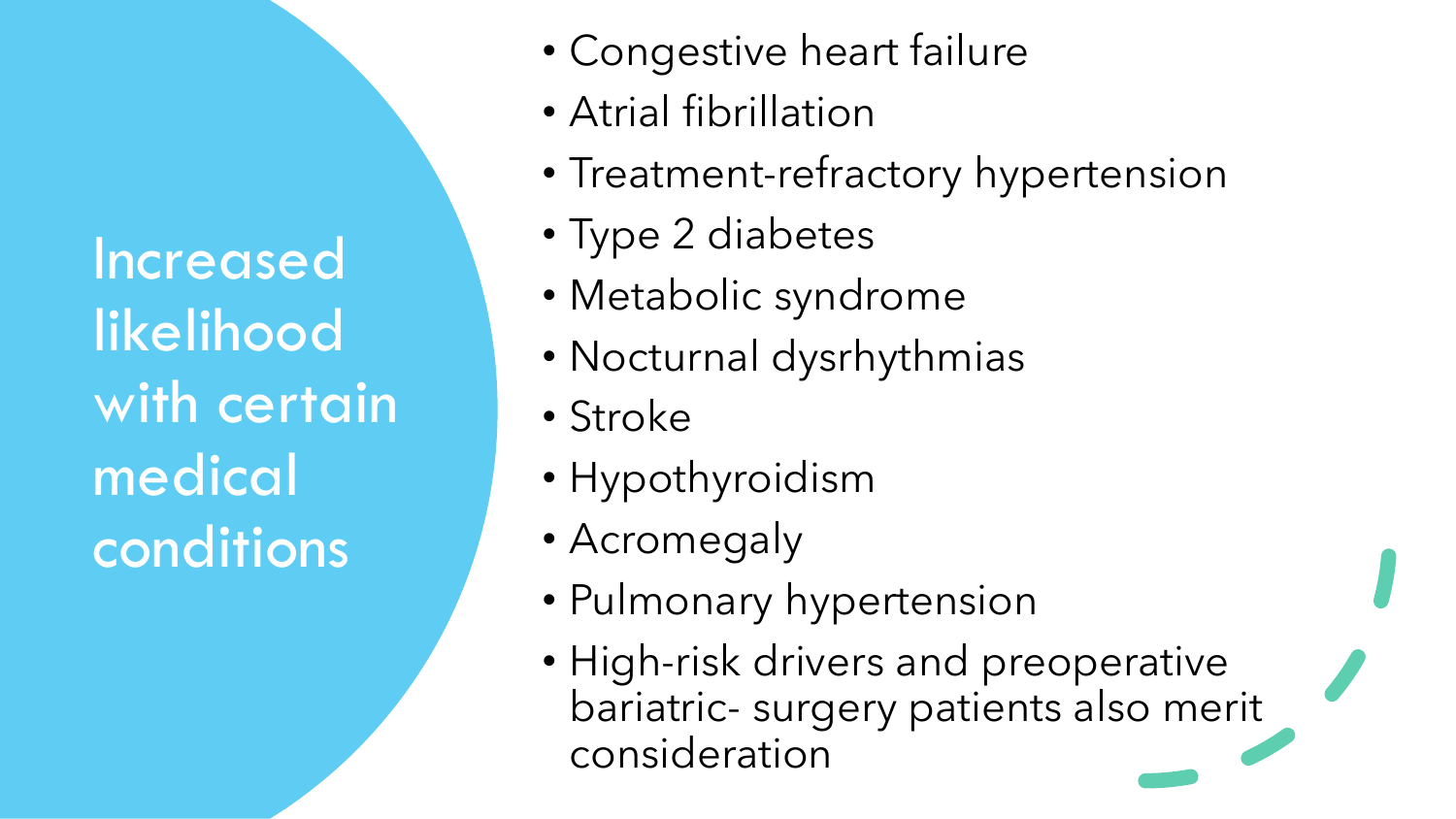Increased likelihood with certain medical conditions

- Congestive heart failure
- Atrial fibrillation
- Treatment-refractory hypertension
- Type 2 diabetes
- Metabolic syndrome
- Nocturnal dysrhythmias
- Stroke
- Hypothyroidism
- Acromegaly
- Pulmonary hypertension
- High-risk drivers and preoperative bariatric- surgery patients also merit consideration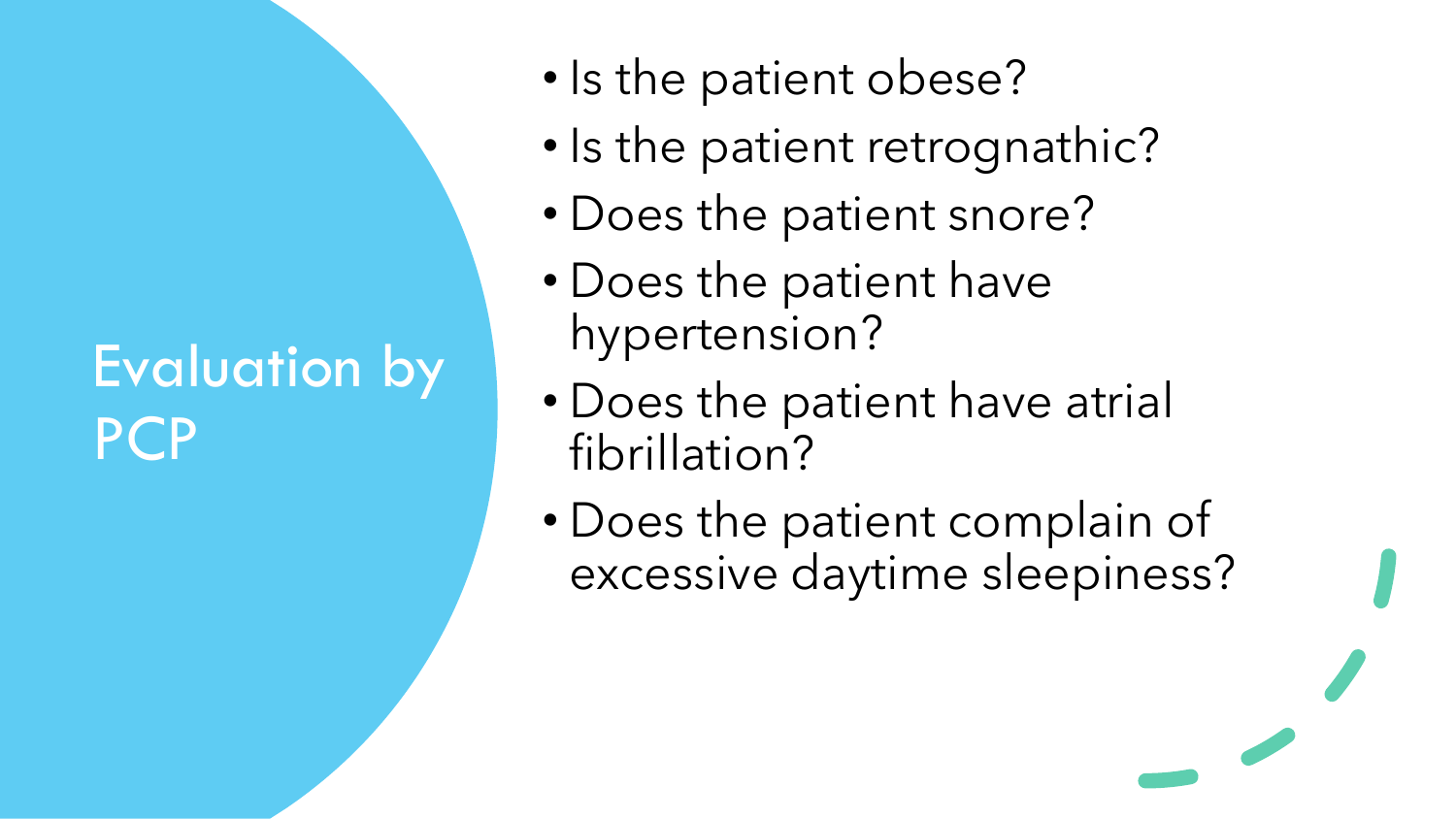### Evaluation by **PCP**

- Is the patient obese?
- Is the patient retrognathic?
- Does the patient snore?
- Does the patient have hypertension?
- Does the patient have atrial fibrillation?
- Does the patient complain of excessive daytime sleepiness?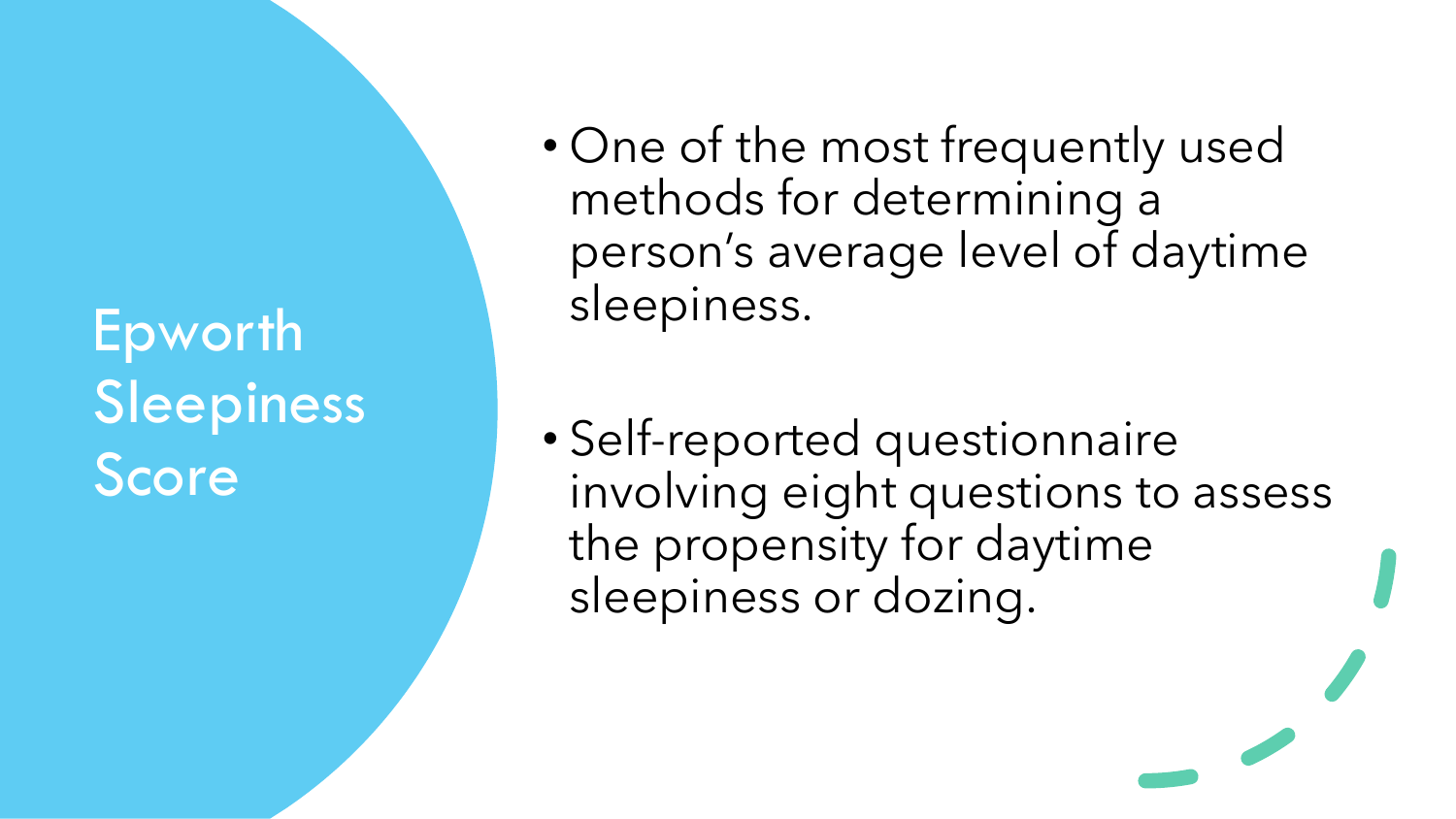Epworth Sleepiness Score

• One of the most frequently used methods for determining a person's average level of daytime sleepiness.

• Self-reported questionnaire involving eight questions to assess the propensity for daytime sleepiness or dozing.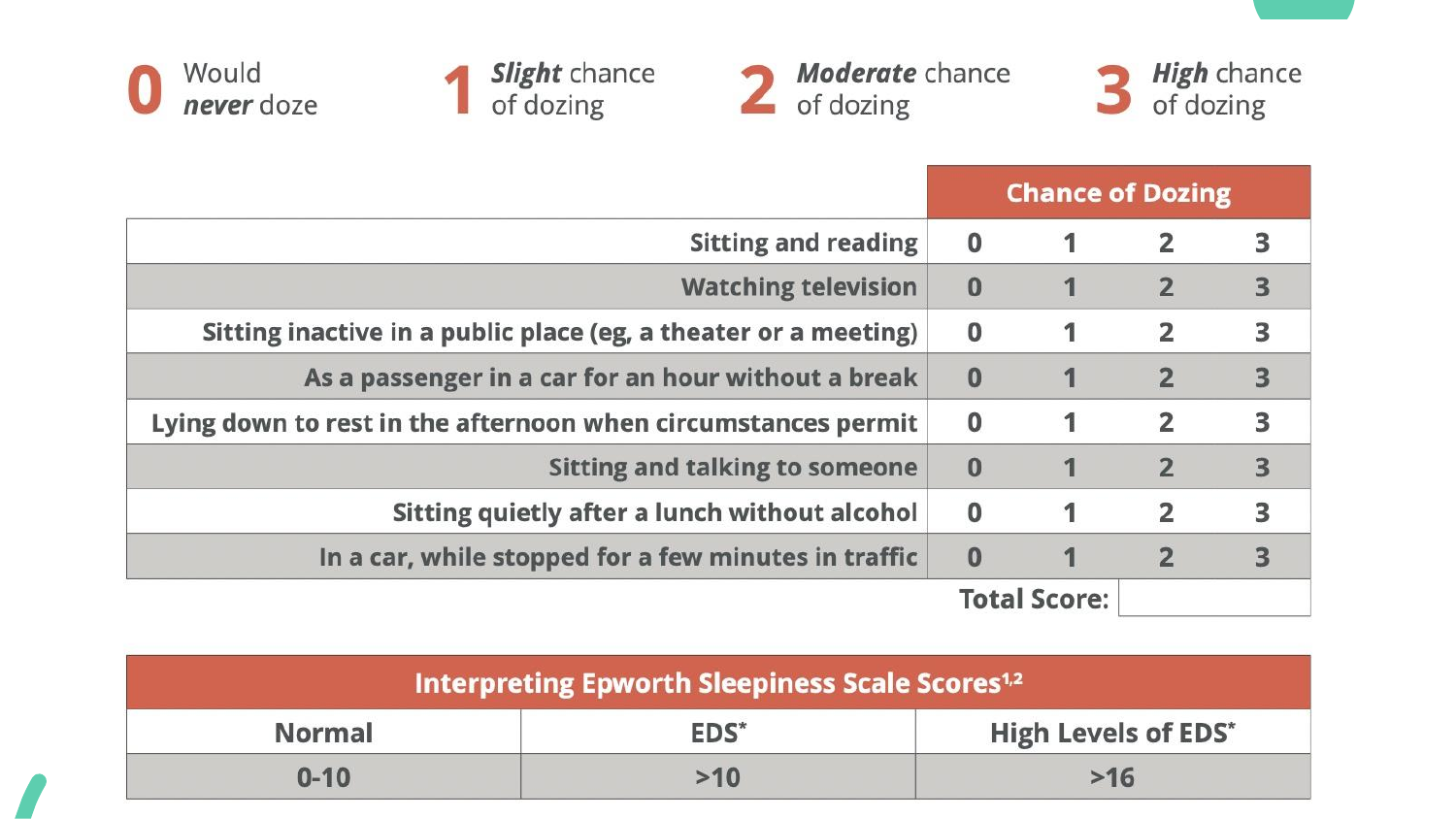

**High** chance<br>of dozing



|                                                                 | <b>Chance of Dozing</b> |                     |                |   |
|-----------------------------------------------------------------|-------------------------|---------------------|----------------|---|
| <b>Sitting and reading</b>                                      | $\bf{0}$                | 1                   | 2              | 3 |
| <b>Watching television</b>                                      | $\bf{0}$                |                     | $\overline{2}$ | 3 |
| Sitting inactive in a public place (eg, a theater or a meeting) | $\bf{0}$                | $\mathbf{1}$        | $\overline{2}$ | 3 |
| As a passenger in a car for an hour without a break             | $\bf{0}$                | 1                   | $\overline{2}$ | 3 |
| Lying down to rest in the afternoon when circumstances permit   | $\bf{0}$                | $\mathbf 1$         | $\overline{2}$ | 3 |
| <b>Sitting and talking to someone</b>                           | $\bf{0}$                | 1                   | $\overline{2}$ | 3 |
| Sitting quietly after a lunch without alcohol                   | $\bf{0}$                | 1                   | $\overline{2}$ | 3 |
| In a car, while stopped for a few minutes in traffic            | $\bf{0}$                | $\mathbf{1}$        | $\overline{2}$ | 3 |
|                                                                 |                         | <b>Total Score:</b> |                |   |

| Interpreting Epworth Sleepiness Scale Scores <sup>1,2</sup> |                  |                            |  |  |
|-------------------------------------------------------------|------------------|----------------------------|--|--|
| <b>Normal</b>                                               | EDS <sup>*</sup> | <b>High Levels of EDS*</b> |  |  |
| $0 - 10$                                                    | >10              | >16                        |  |  |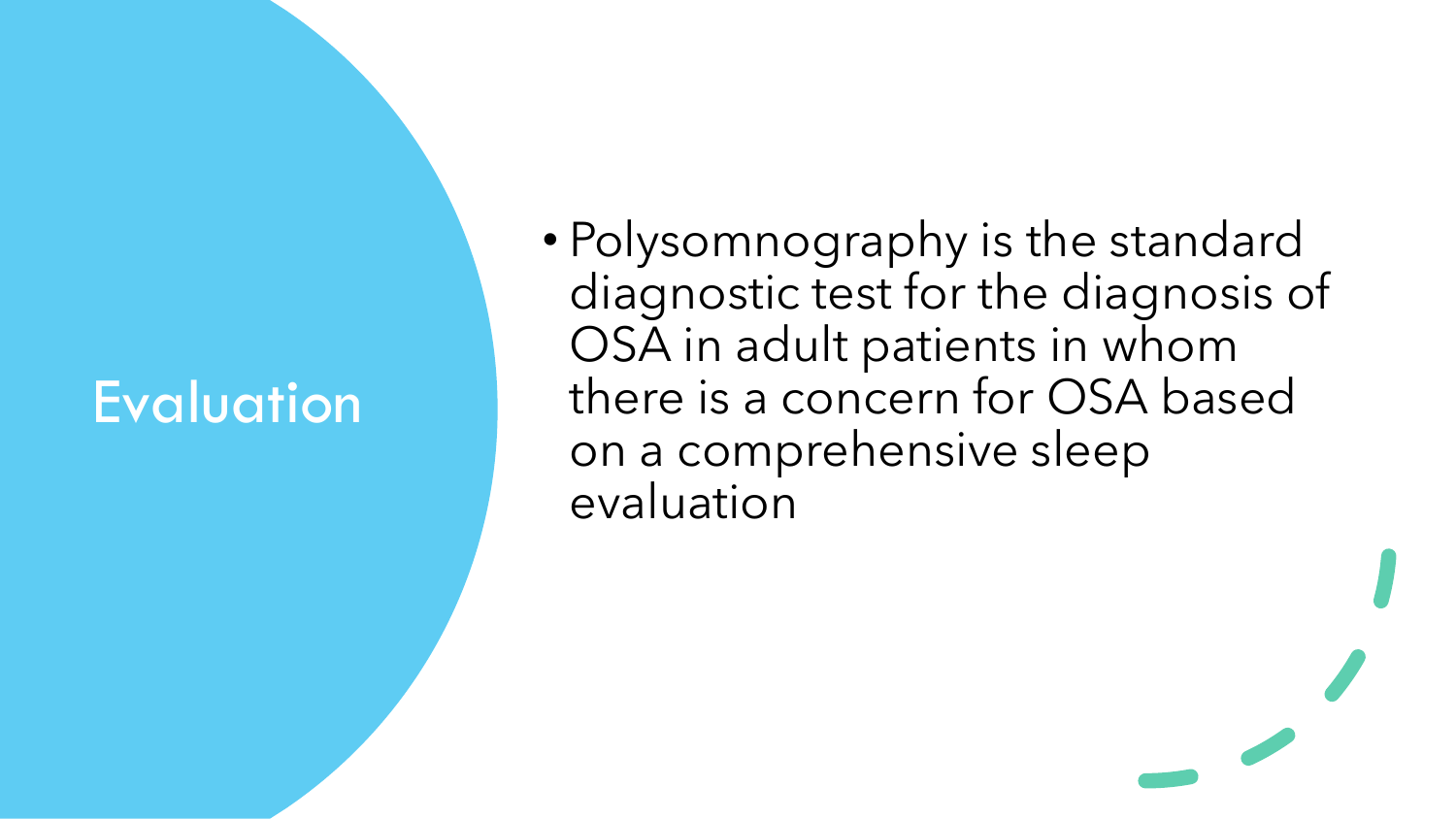#### **Evaluation**

• Polysomnography is the standard diagnostic test for the diagnosis of OSA in adult patients in whom there is a concern for OSA based on a comprehensive sleep evaluation

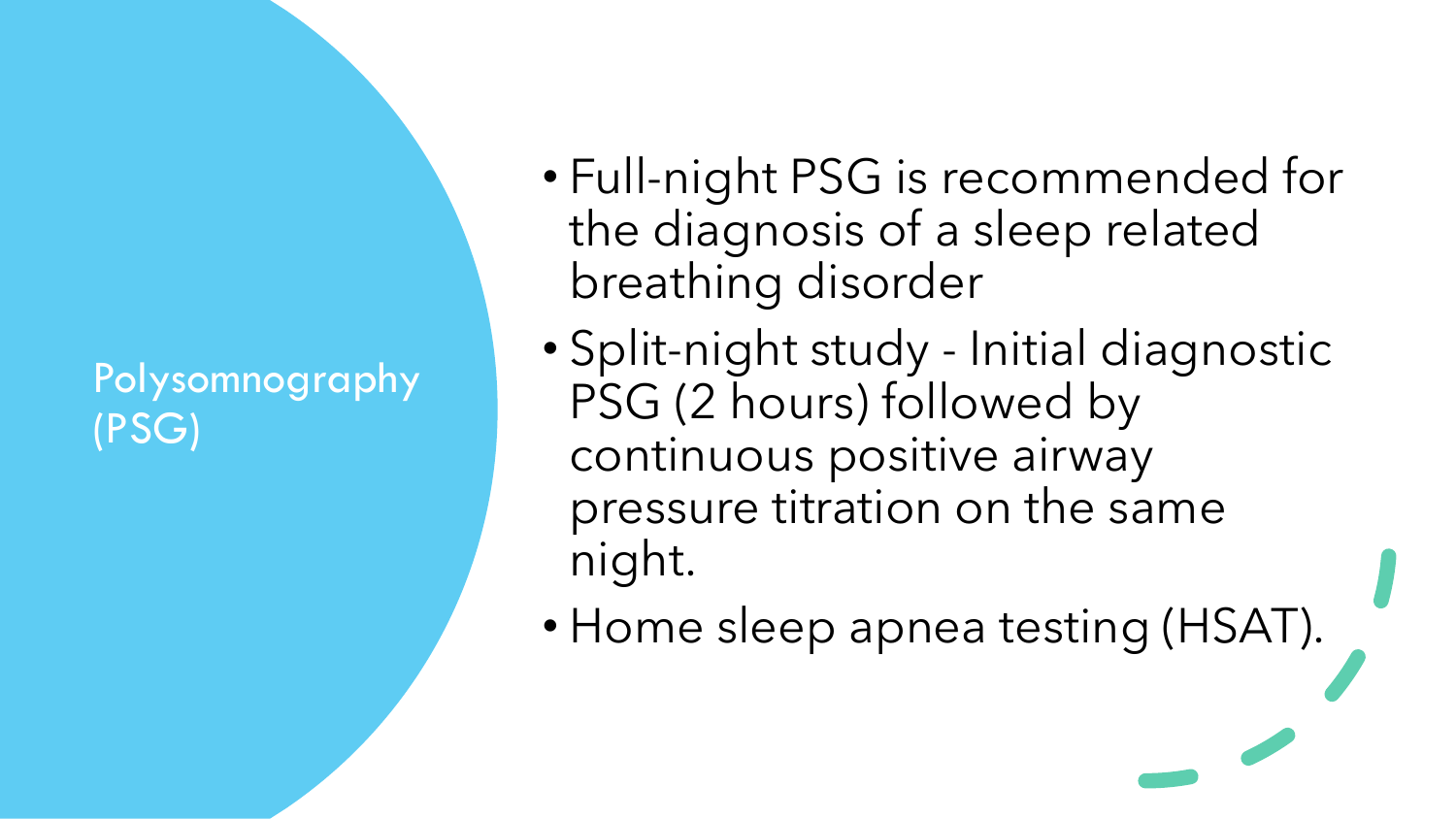#### Polysomnography (PSG)

- Full-night PSG is recommended for the diagnosis of a sleep related breathing disorder
- Split-night study Initial diagnostic PSG (2 hours) followed by continuous positive airway pressure titration on the same night.
- Home sleep apnea testing (HSAT).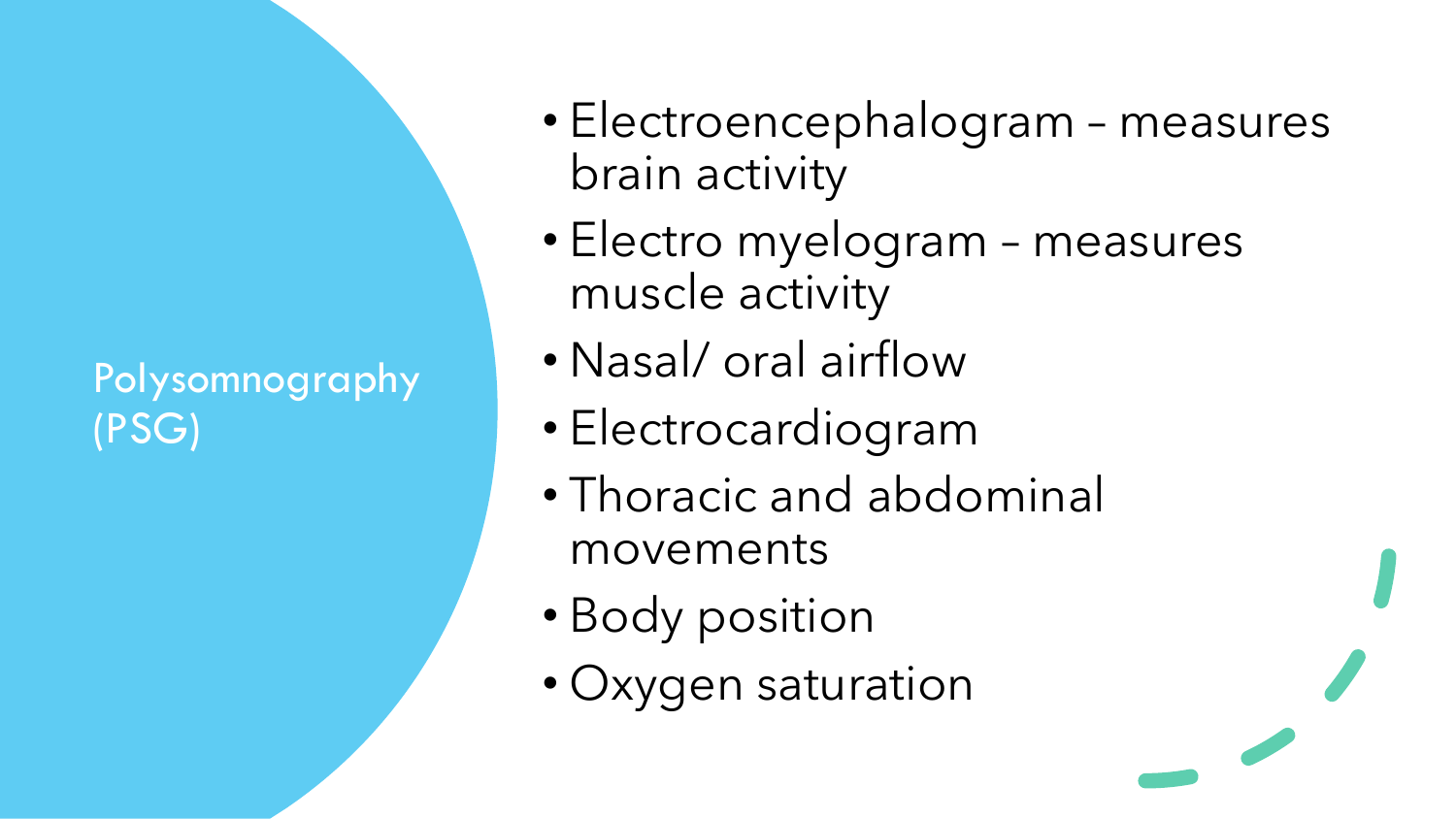#### Polysomnography (PSG)

- Electroencephalogram measures brain activity
- Electro myelogram measures muscle activity
- Nasal/ oral airflow
- Electrocardiogram
- Thoracic and abdominal movements
- Body position
- Oxygen saturation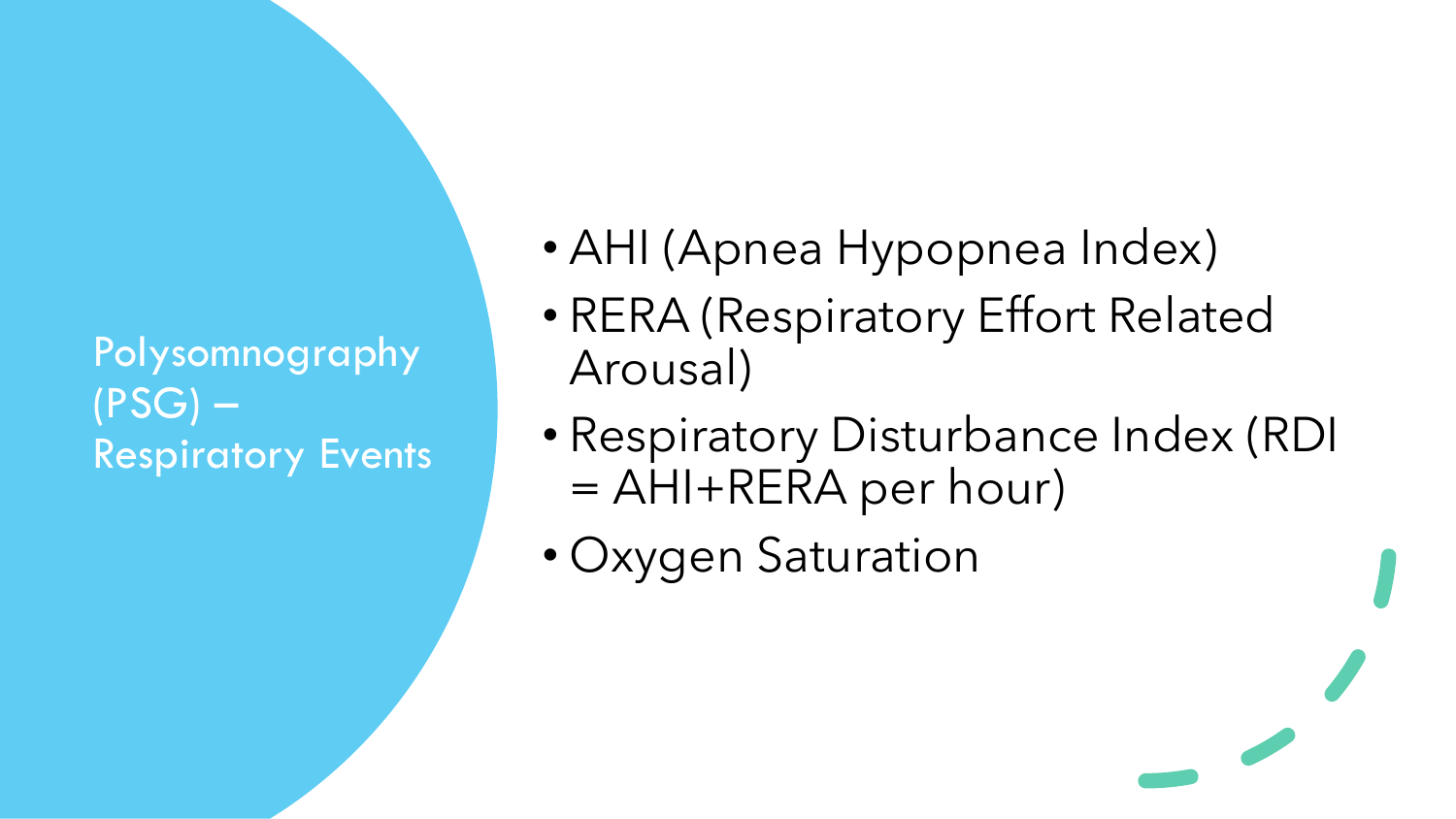Polysomnography  $(PSG)$  – **Respiratory Events** 

- AHI (Apnea Hypopnea Index)
- RERA (Respiratory Effort Related Arousal)
- Respiratory Disturbance Index (RDI  $=$  AHI+RERA per hour)
- Oxygen Saturation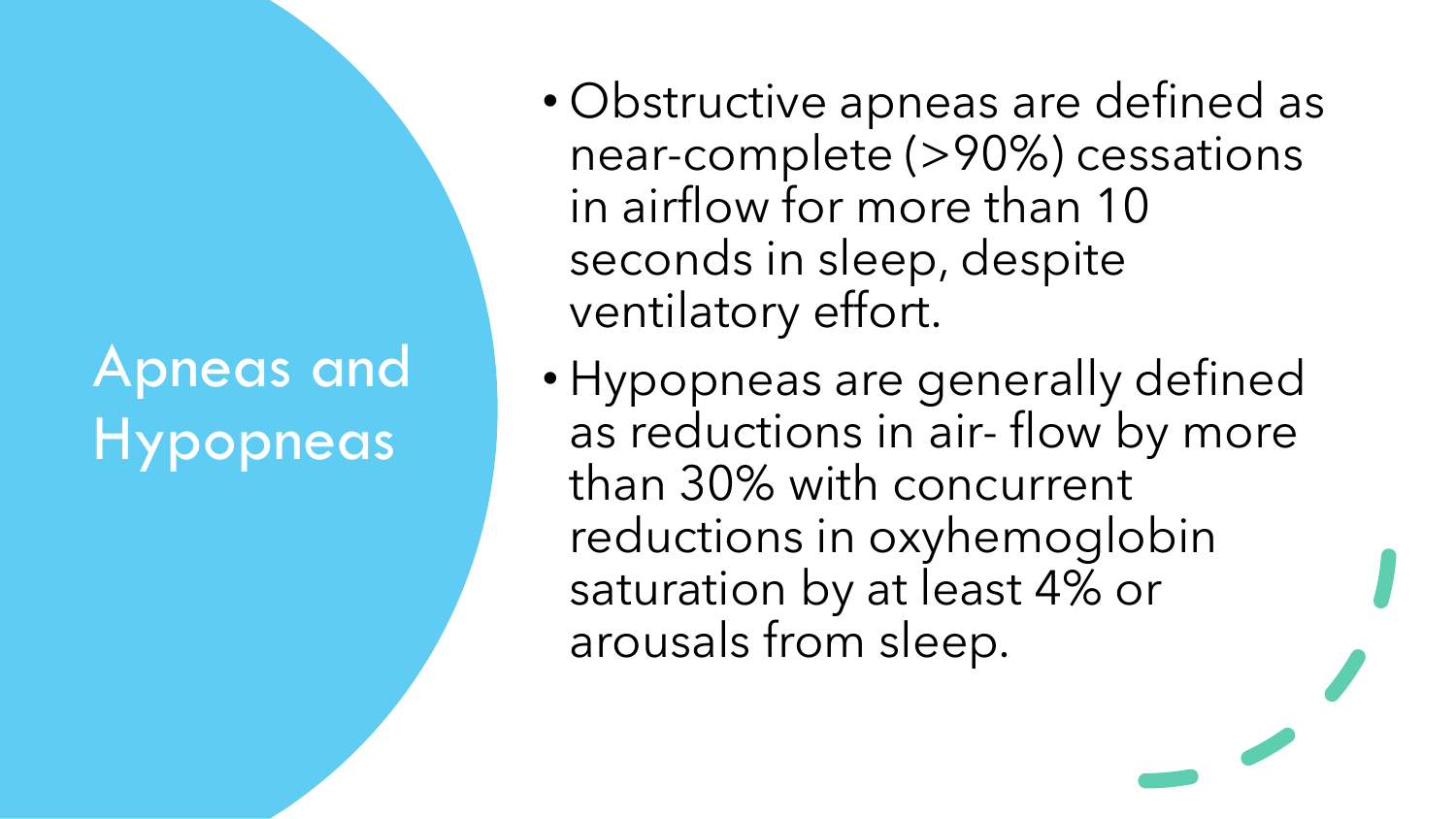# Apneas and Hypopneas

- Obstructive apneas are defined as near-complete (>90%) cessations in airflow for more than 10 seconds in sleep, despite ventilatory effort.
- Hypopneas are generally defined as reductions in air- flow by more than 30% with concurrent reductions in oxyhemoglobin saturation by at least 4% or arousals from sleep.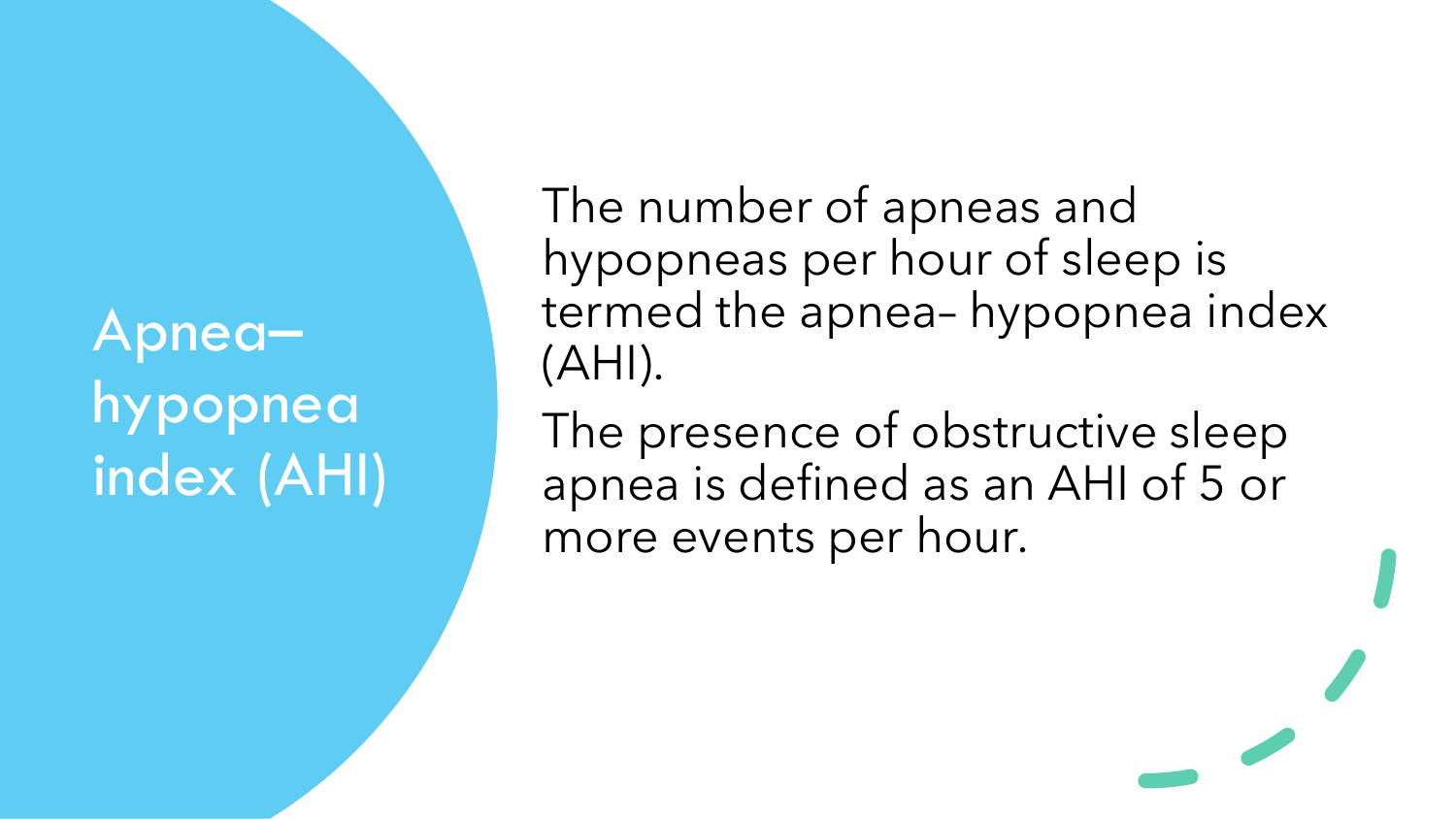Apnea– hypopnea index (AHI) The number of apneas and hypopneas per hour of sleep is termed the apnea– hypopnea index (AHI).

The presence of obstructive sleep apnea is defined as an AHI of 5 or more events per hour.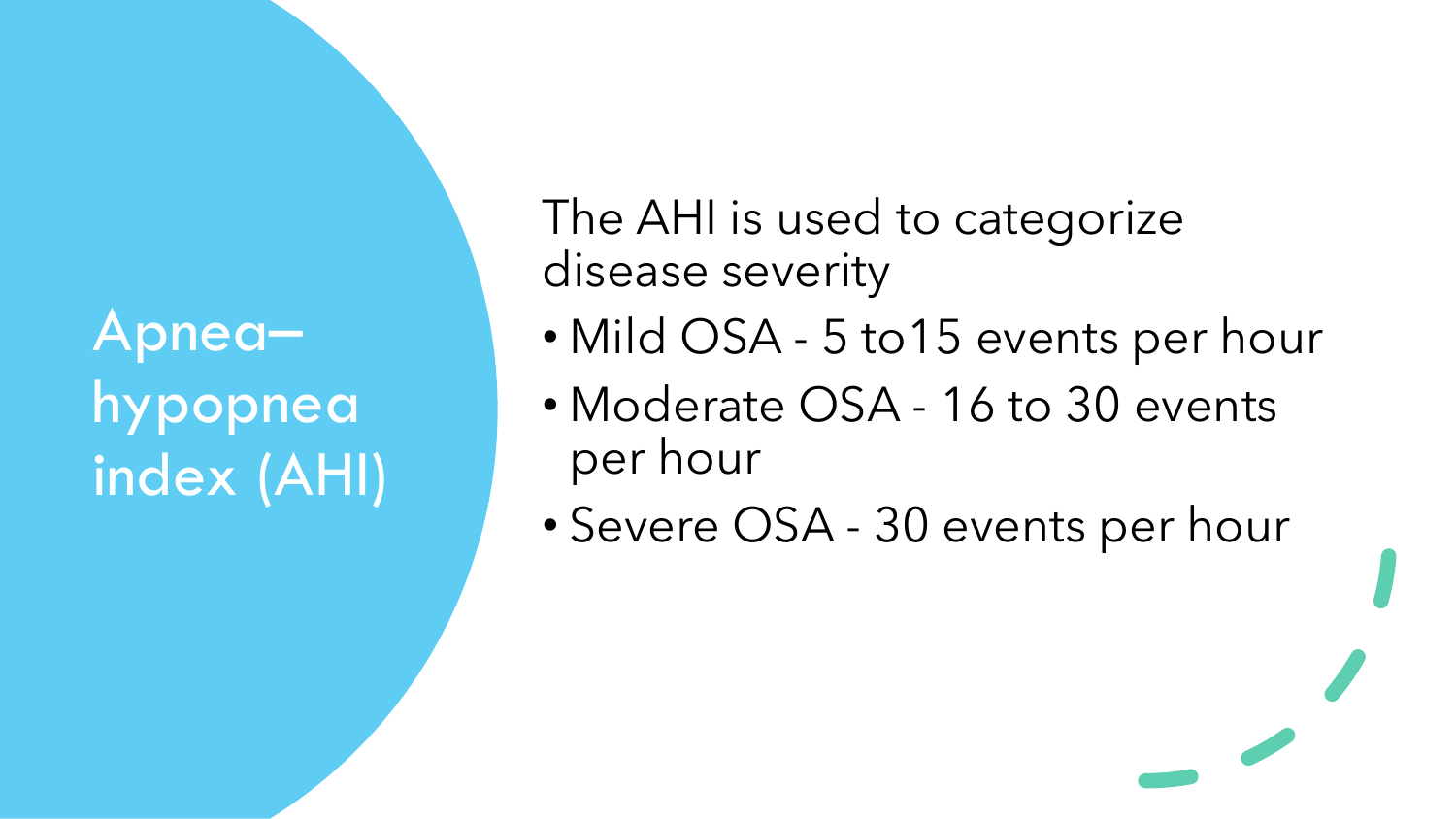Apnea– hypopnea index (AHI) The AHI is used to categorize disease severity

- Mild OSA 5 to 15 events per hour
- Moderate OSA 16 to 30 events per hour
- Severe OSA 30 events per hour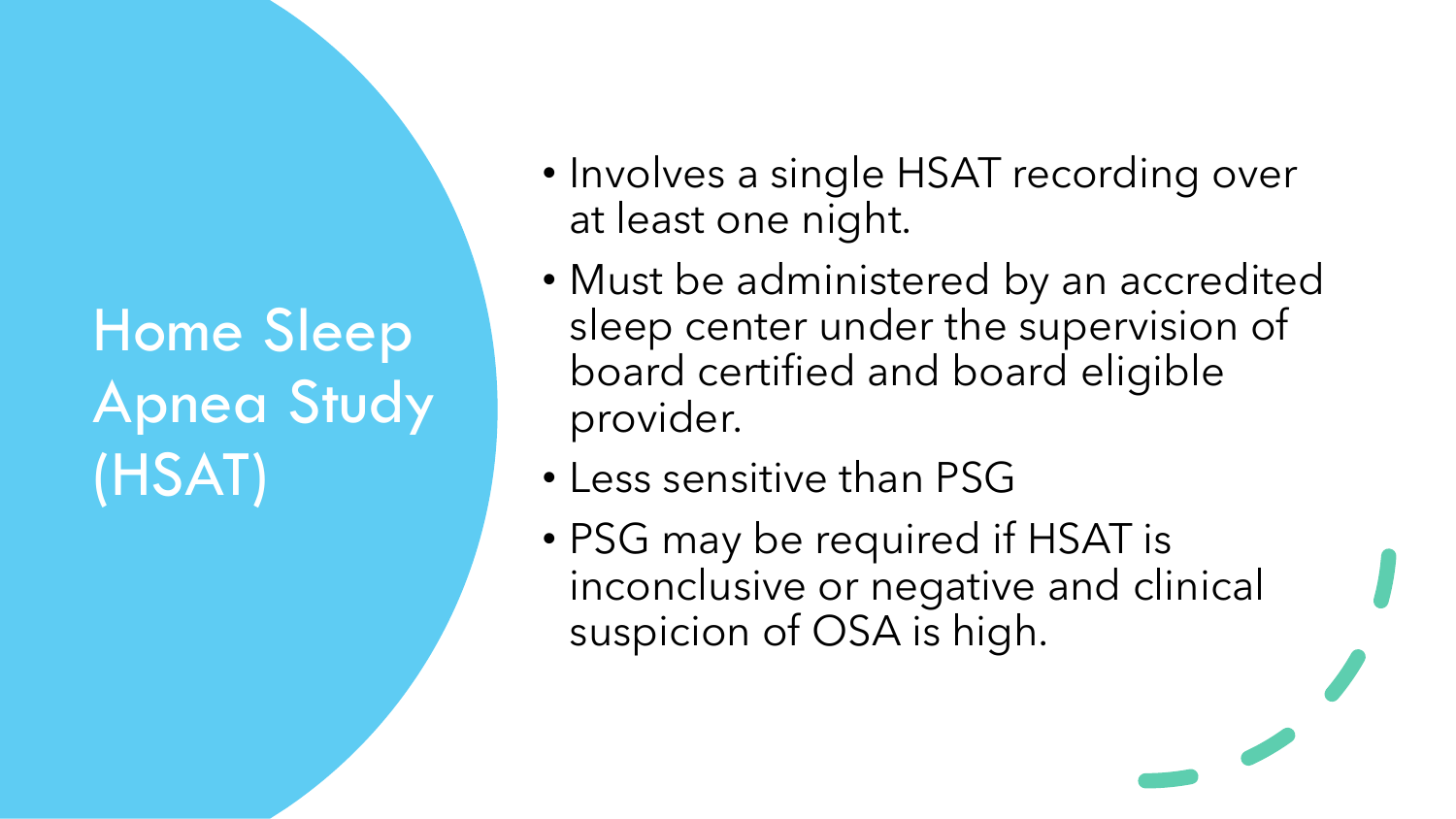# Home Sleep Apnea Study (HSAT)

- Involves a single HSAT recording over at least one night.
- Must be administered by an accredited sleep center under the supervision of board certified and board eligible provider.
- Less sensitive than PSG
- PSG may be required if HSAT is inconclusive or negative and clinical suspicion of OSA is high.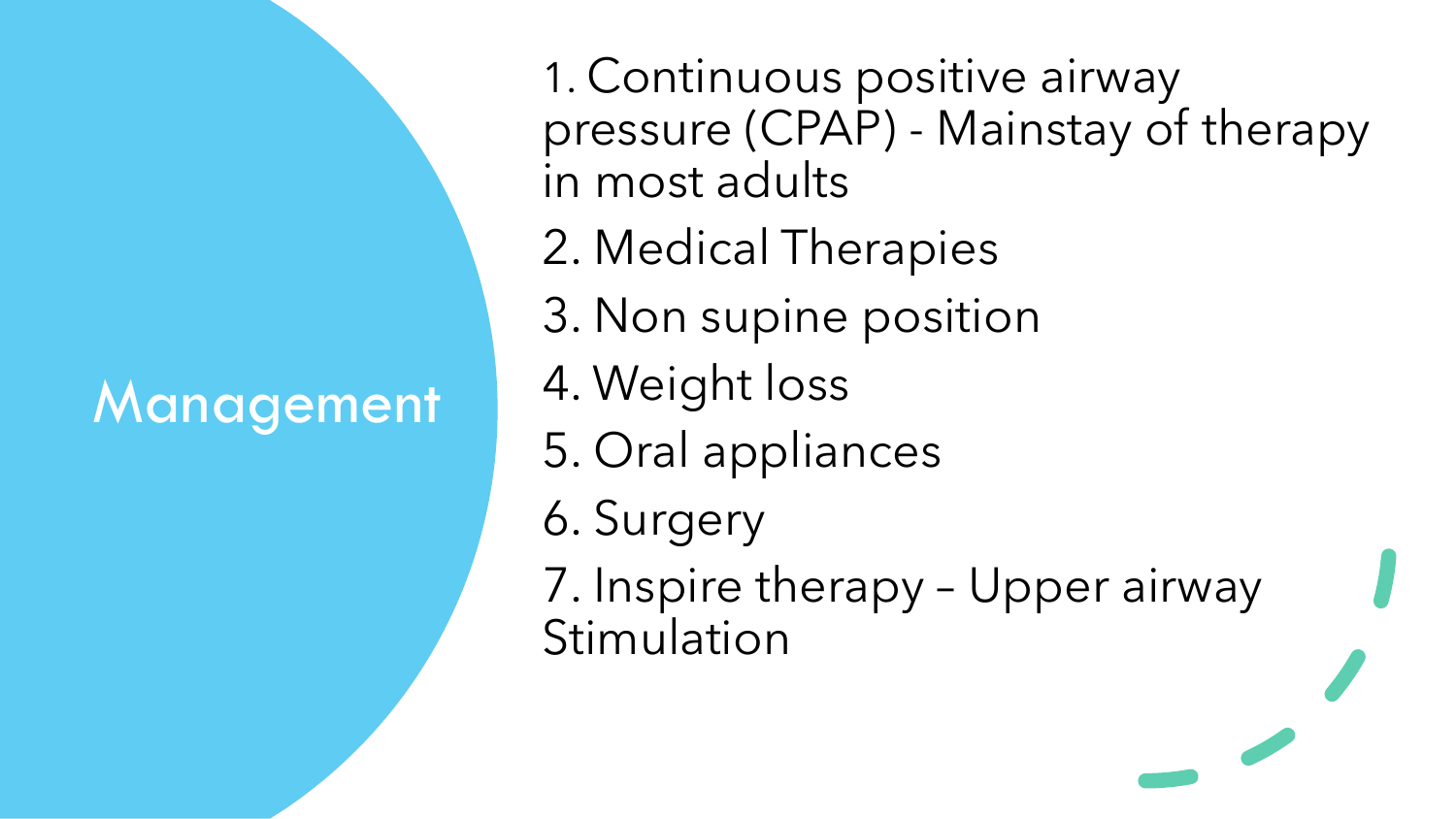#### Management

1. Continuous positive airway pressure (CPAP) - Mainstay of therapy in most adults 2. Medical Therapies 3. Non supine position 4. Weight loss 5. Oral appliances 6. Surgery 7. Inspire therapy – Upper airway Stimulation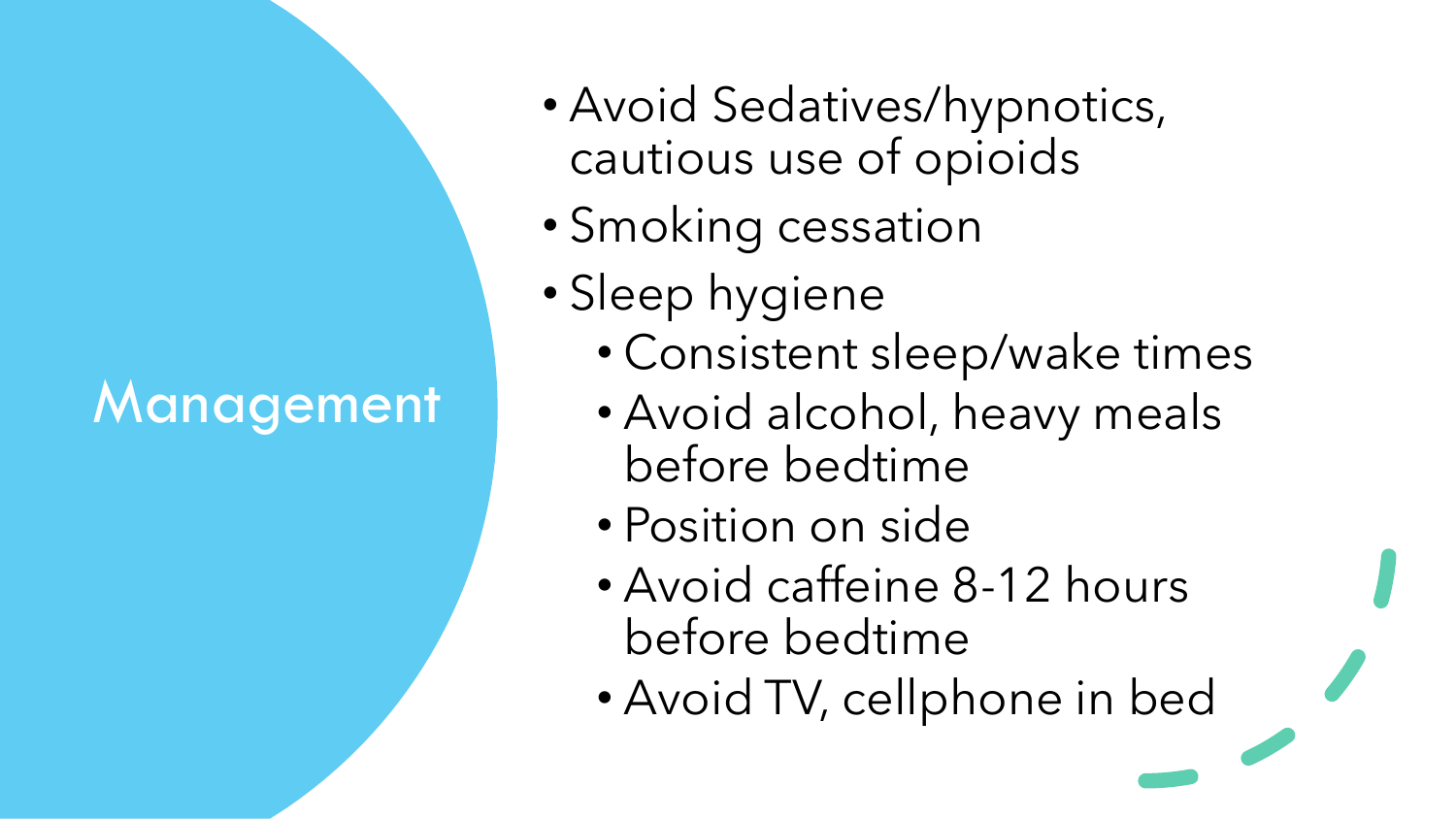# Management

- Avoid Sedatives/hypnotics, cautious use of opioids
- Smoking cessation
- Sleep hygiene
	- Consistent sleep/wake times
	- Avoid alcohol, heavy meals before bedtime
	- Position on side
	- Avoid caffeine 8-12 hours before bedtime
	- Avoid TV, cellphone in bed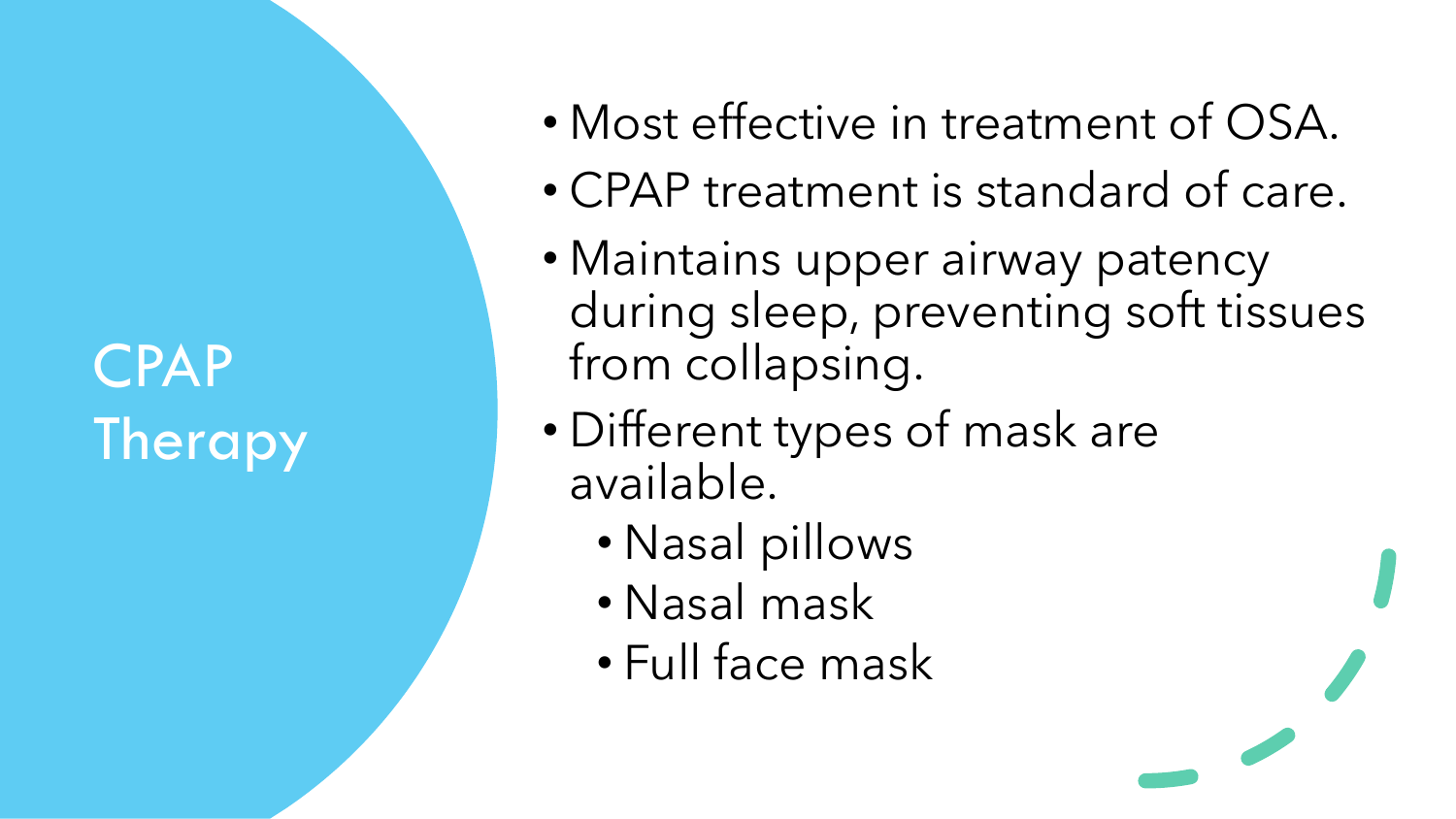CPAP Therapy

- Most effective in treatment of OSA.
- CPAP treatment is standard of care.
- Maintains upper airway patency during sleep, preventing soft tissues from collapsing.
- Different types of mask are available.
	- Nasal pillows
	- Nasal mask
	- Full face mask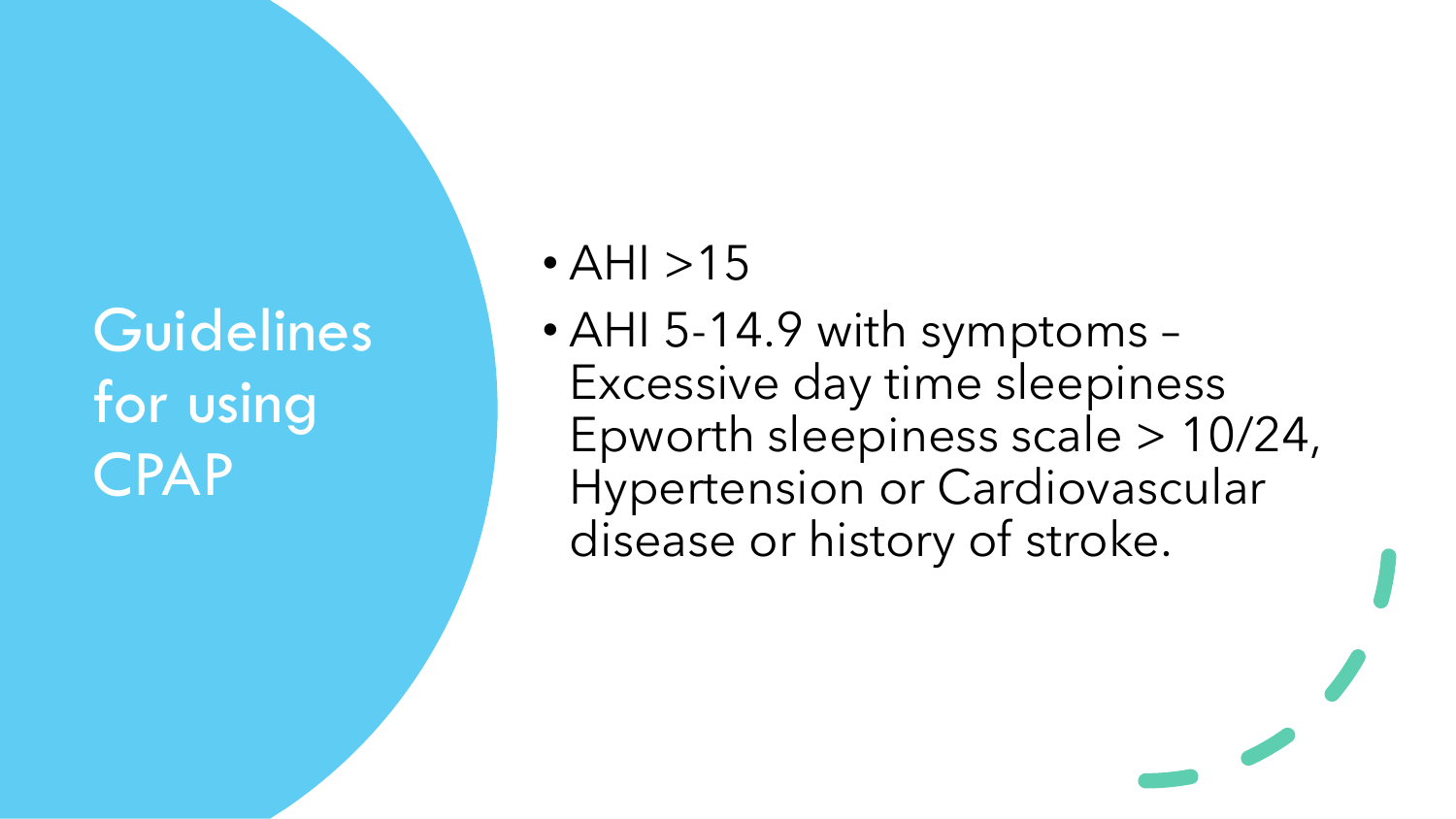**Guidelines** for using **CPAP** 

- $\cdot$  AHI >15
- AHI 5-14.9 with symptoms Excessive day time sleepiness Epworth sleepiness scale > 10/24, Hypertension or Cardiovascular disease or history of stroke.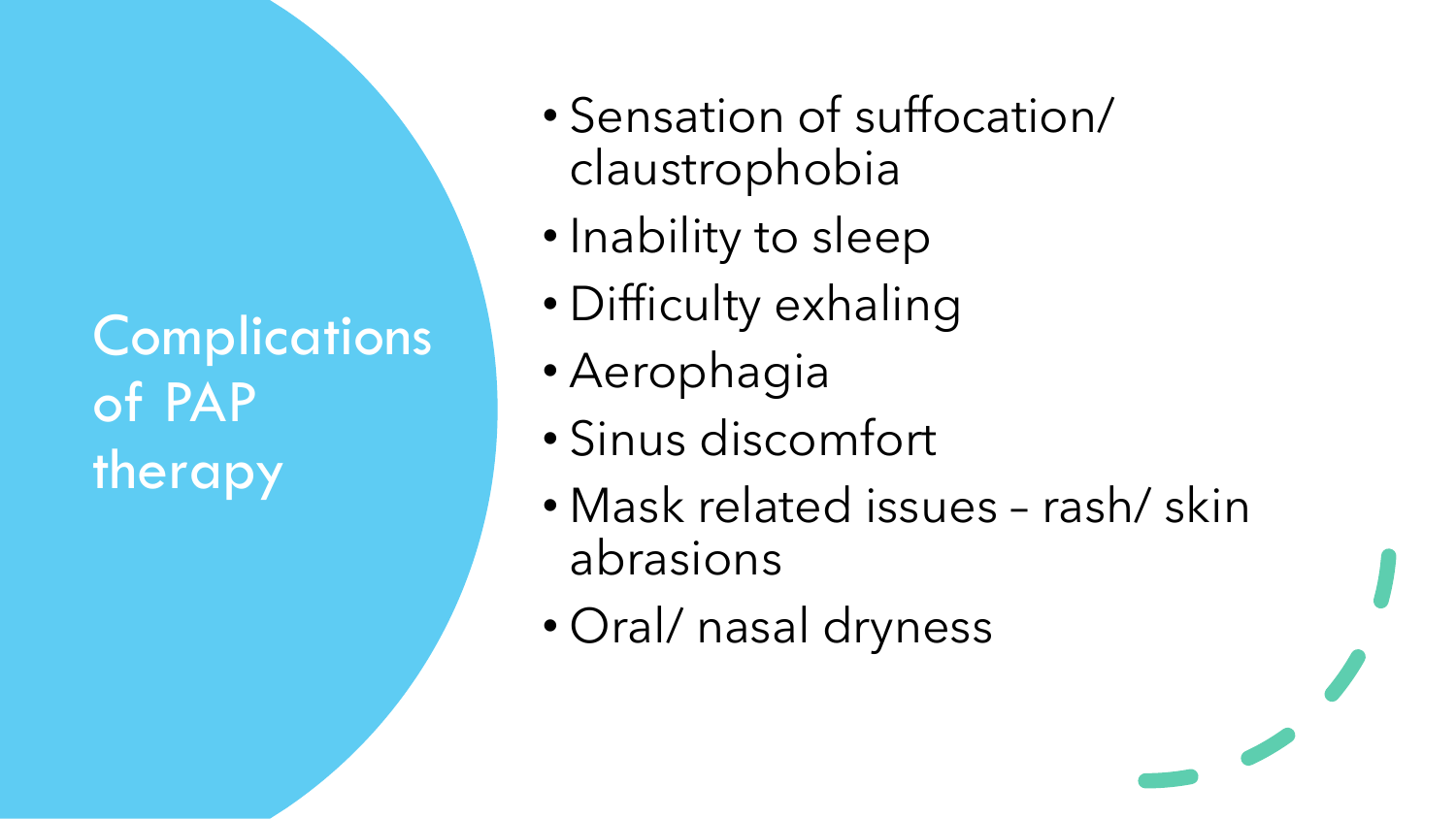**Complications** of PAP therapy

- Sensation of suffocation/ claustrophobia
- Inability to sleep
- Difficulty exhaling
- Aerophagia
- Sinus discomfort
- Mask related issues rash/ skin abrasions
- Oral/ nasal dryness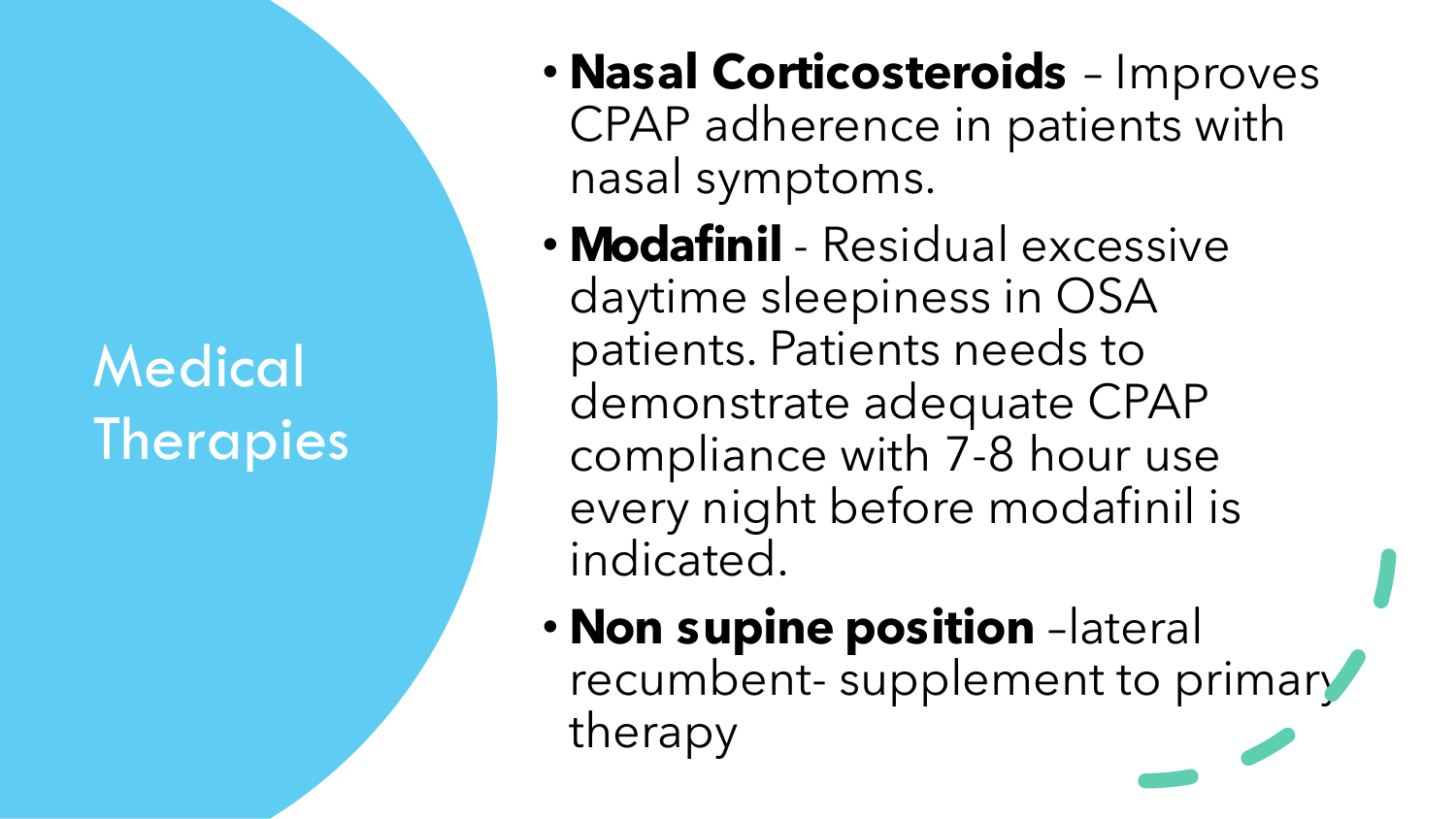**Medical Therapies** 

- **Nasal Corticosteroids**  Improves CPAP adherence in patients with nasal symptoms.
- **Modafinil** Residual excessive daytime sleepiness in OSA patients. Patients needs to demonstrate adequate CPAP compliance with 7-8 hour use every night before modafinil is indicated.
- **Non supine position** –lateral recumbent- supplement to primary therapy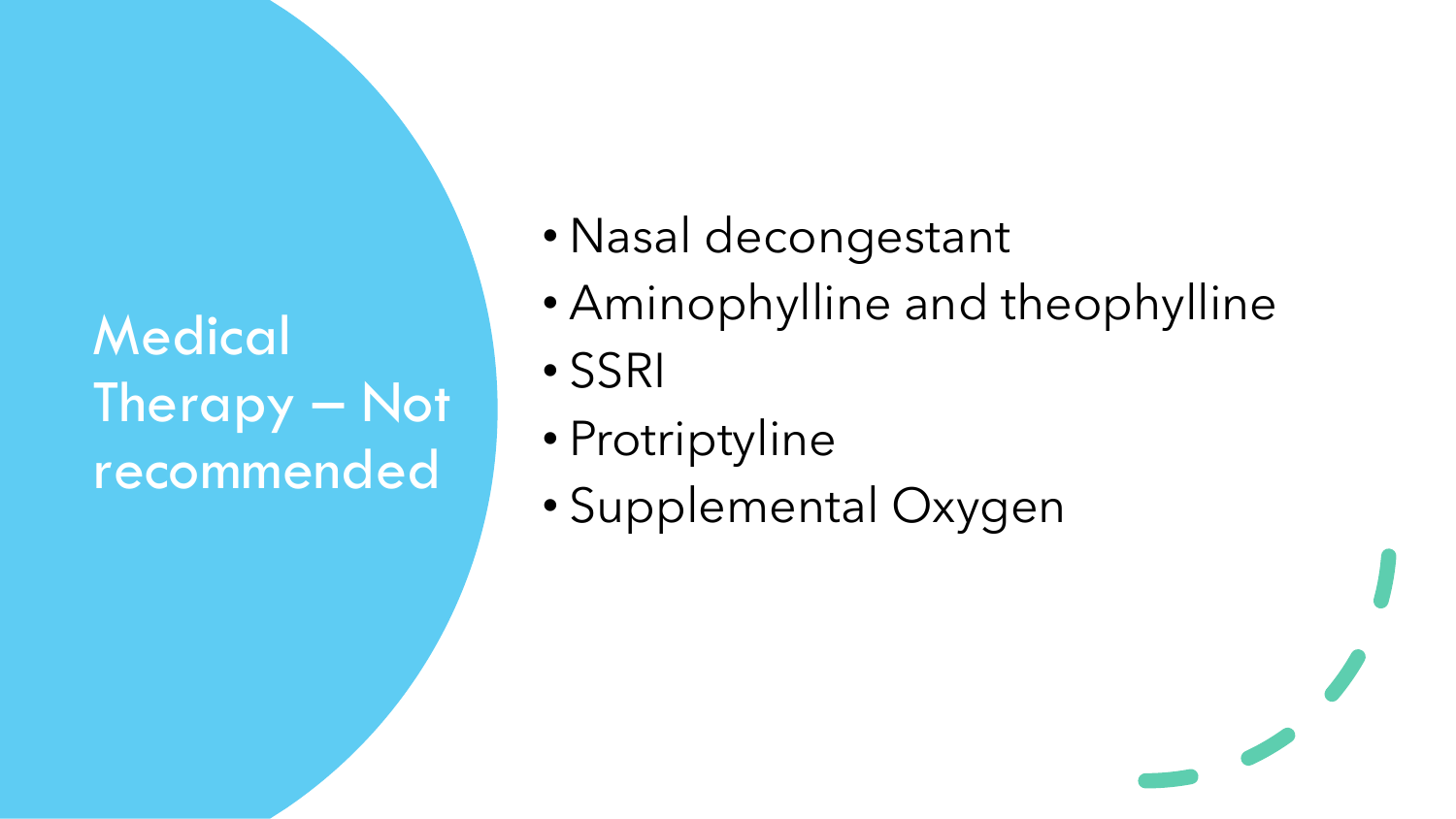Medical Therapy – Not recommended

- Nasal decongestant
- Aminophylline and theophylline
- SSRI
- Protriptyline
- Supplemental Oxygen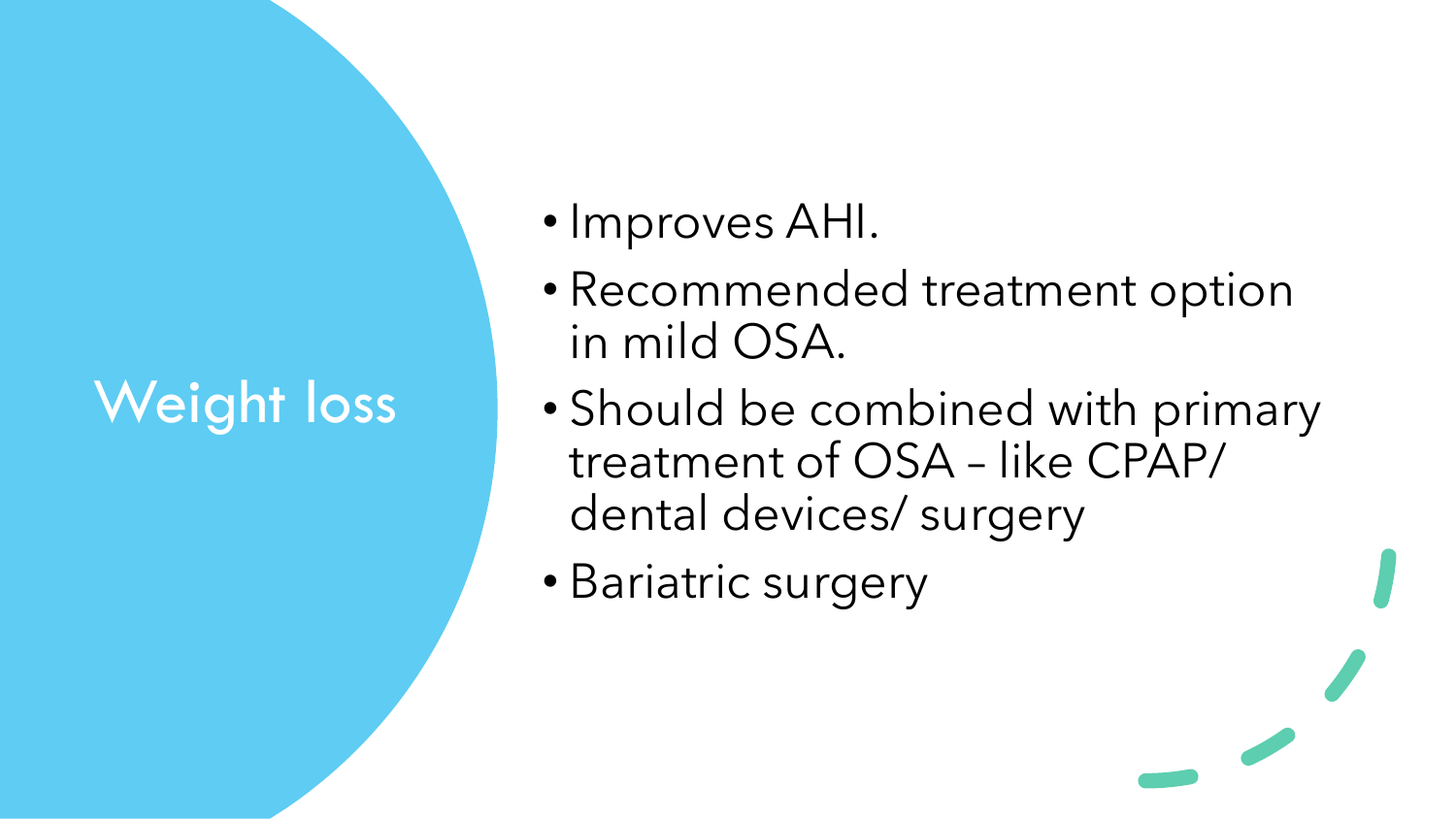# Weight loss

- Improves AHI.
- Recommended treatment option in mild OSA.
- Should be combined with primary treatment of OSA – like CPAP/ dental devices/ surgery
- Bariatric surgery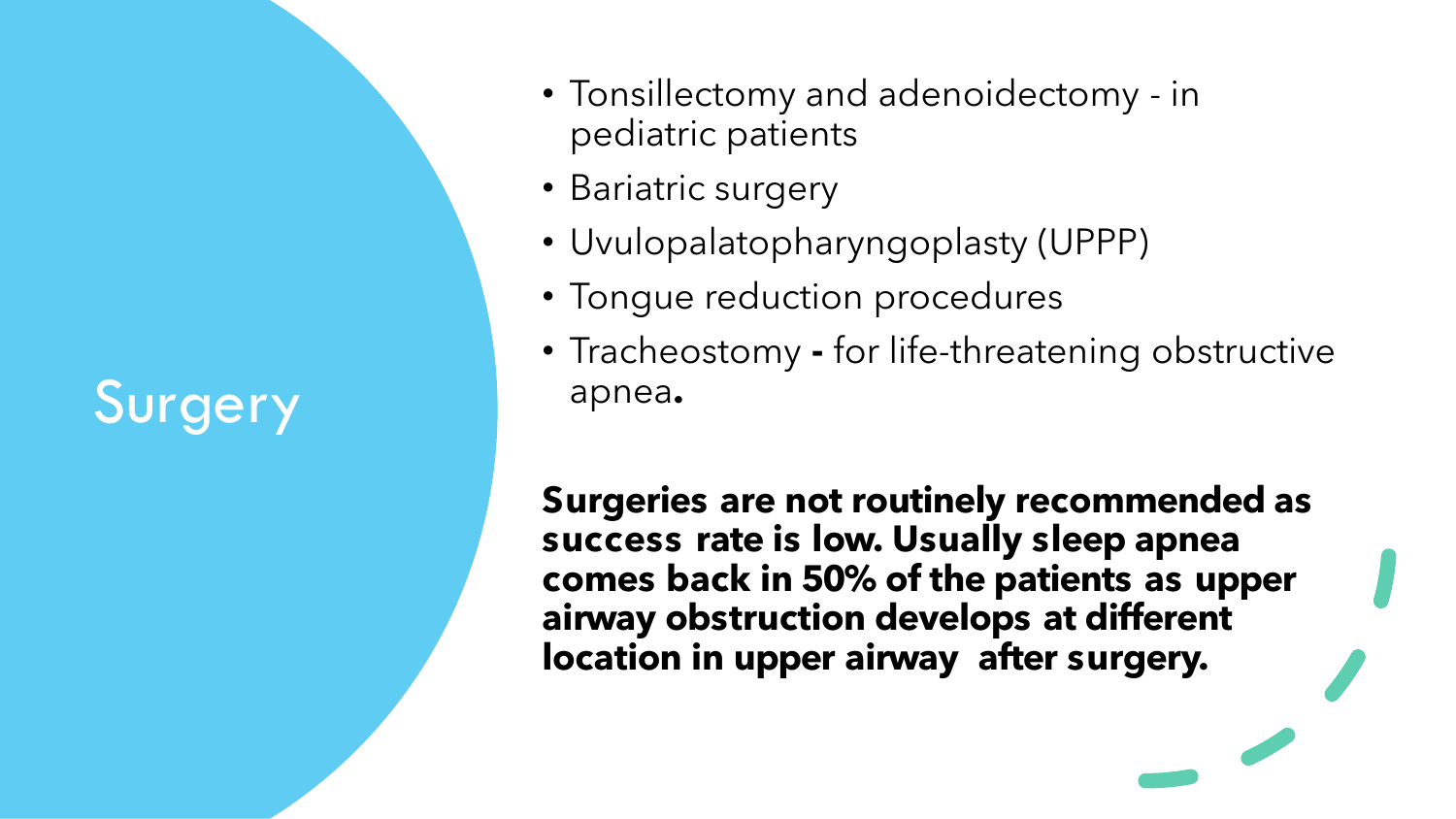# Surgery

- Tonsillectomy and adenoidectomy in pediatric patients
- Bariatric surgery
- Uvulopalatopharyngoplasty (UPPP)
- Tongue reduction procedures
- Tracheostomy **-** for life-threatening obstructive apnea**.**

**Surgeries are not routinely recommended as success rate is low. Usually sleep apnea comes back in 50% of the patients as upper airway obstruction develops at different location in upper airway after surgery.**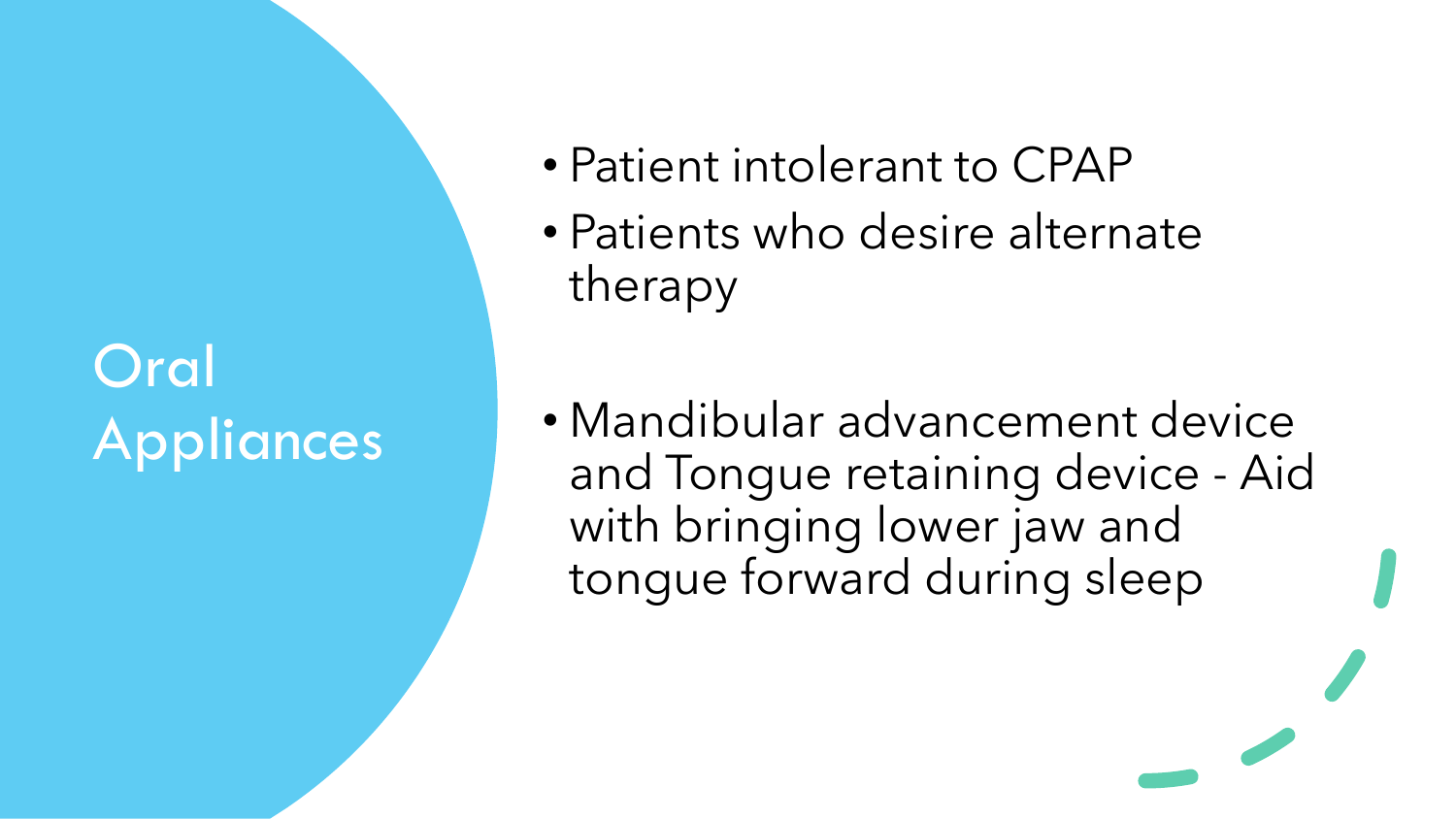**Oral** Appliances

- Patient intolerant to CPAP
- Patients who desire alternate therapy
- Mandibular advancement device and Tongue retaining device - Aid with bringing lower jaw and tongue forward during sleep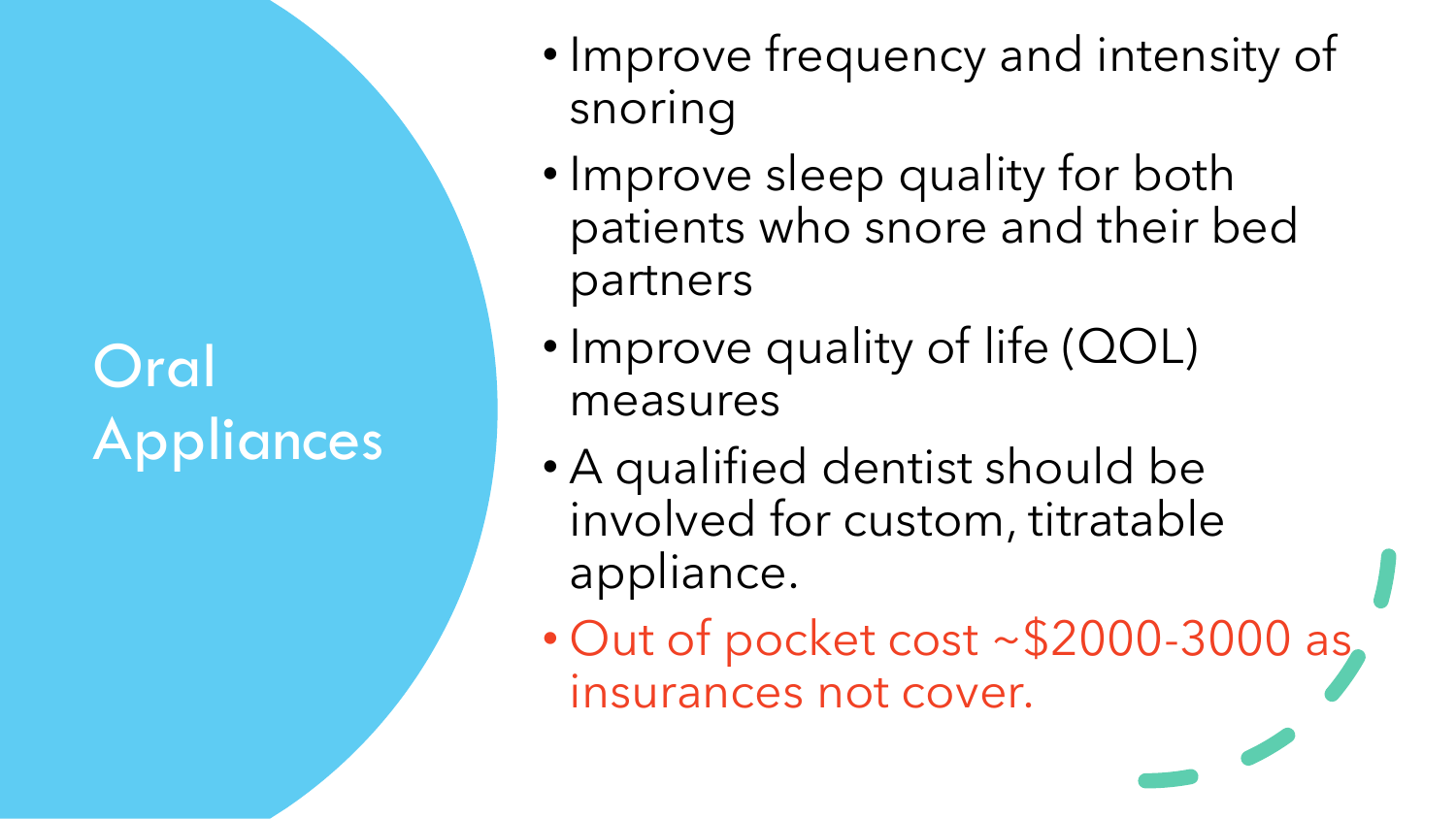Oral Appliances

- Improve frequency and intensity of snoring
- Improve sleep quality for both patients who snore and their bed partners
- Improve quality of life (QOL) measures
- A qualified dentist should be involved for custom, titratable appliance.
- Out of pocket cost ~\$2000-3000 as insurances not cover.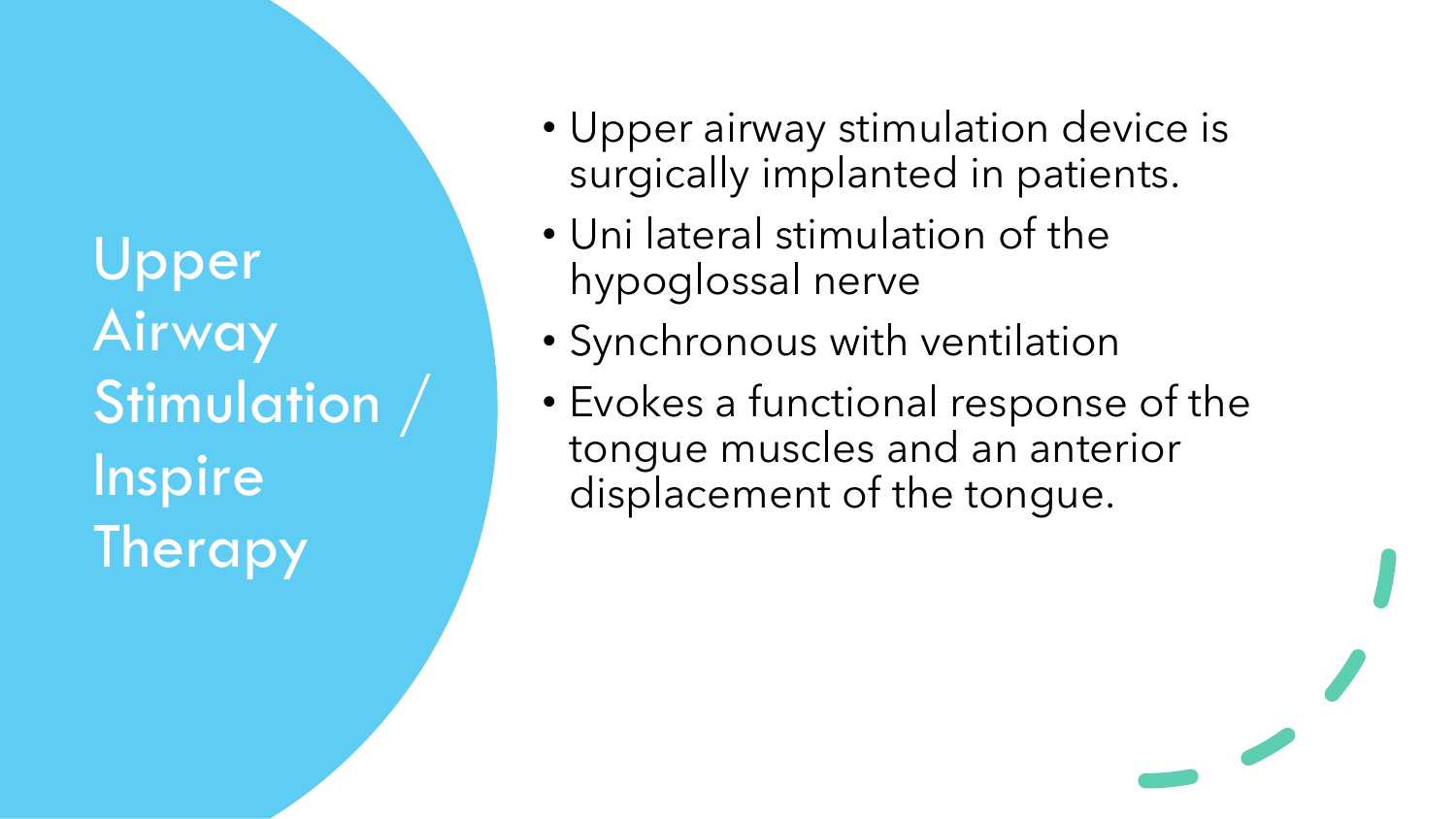Upper Airway Stimulation / Inspire Therapy

- Upper airway stimulation device is surgically implanted in patients.
- Uni lateral stimulation of the hypoglossal nerve
- Synchronous with ventilation
- Evokes a functional response of the tongue muscles and an anterior displacement of the tongue.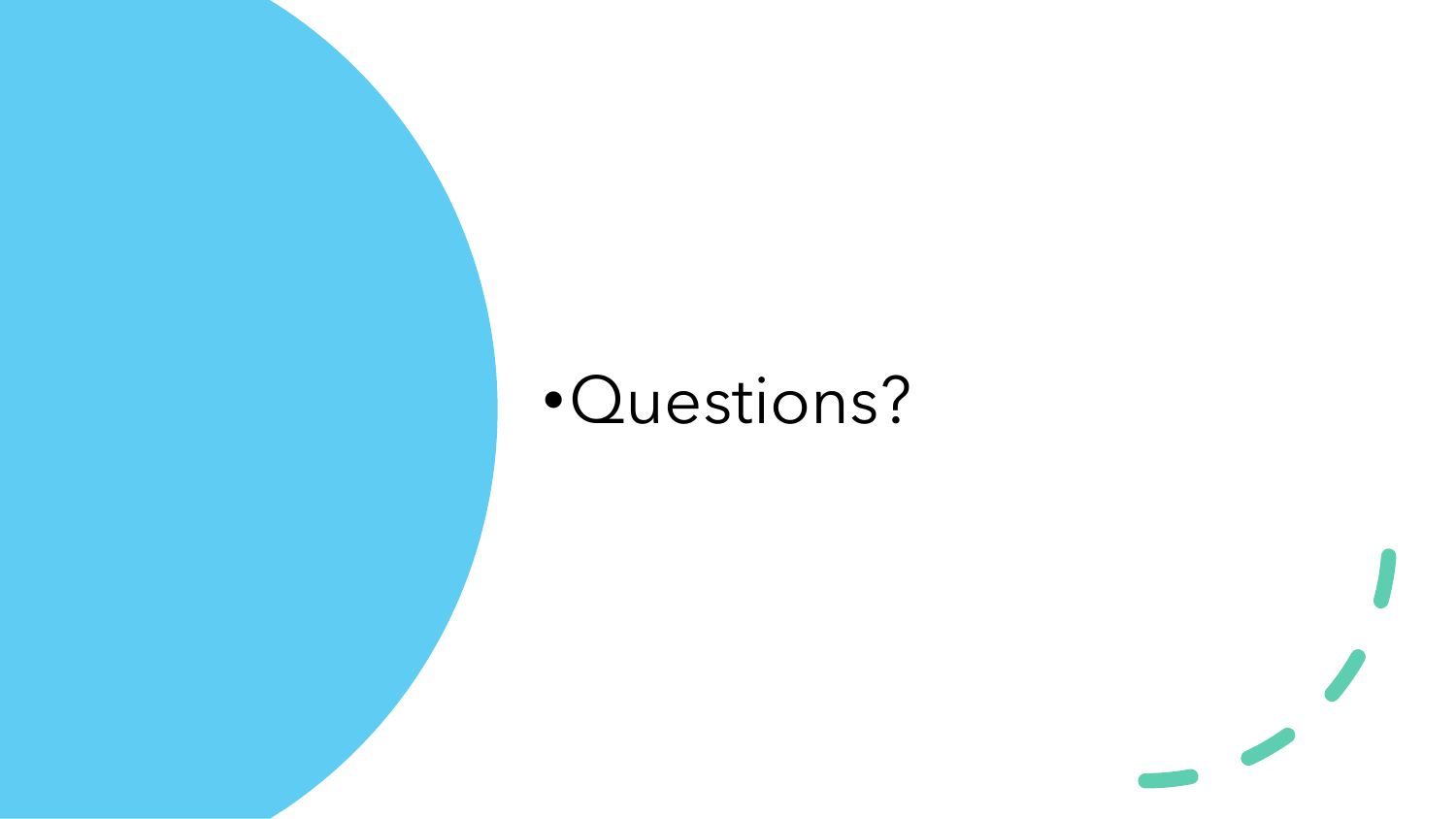# •Questions?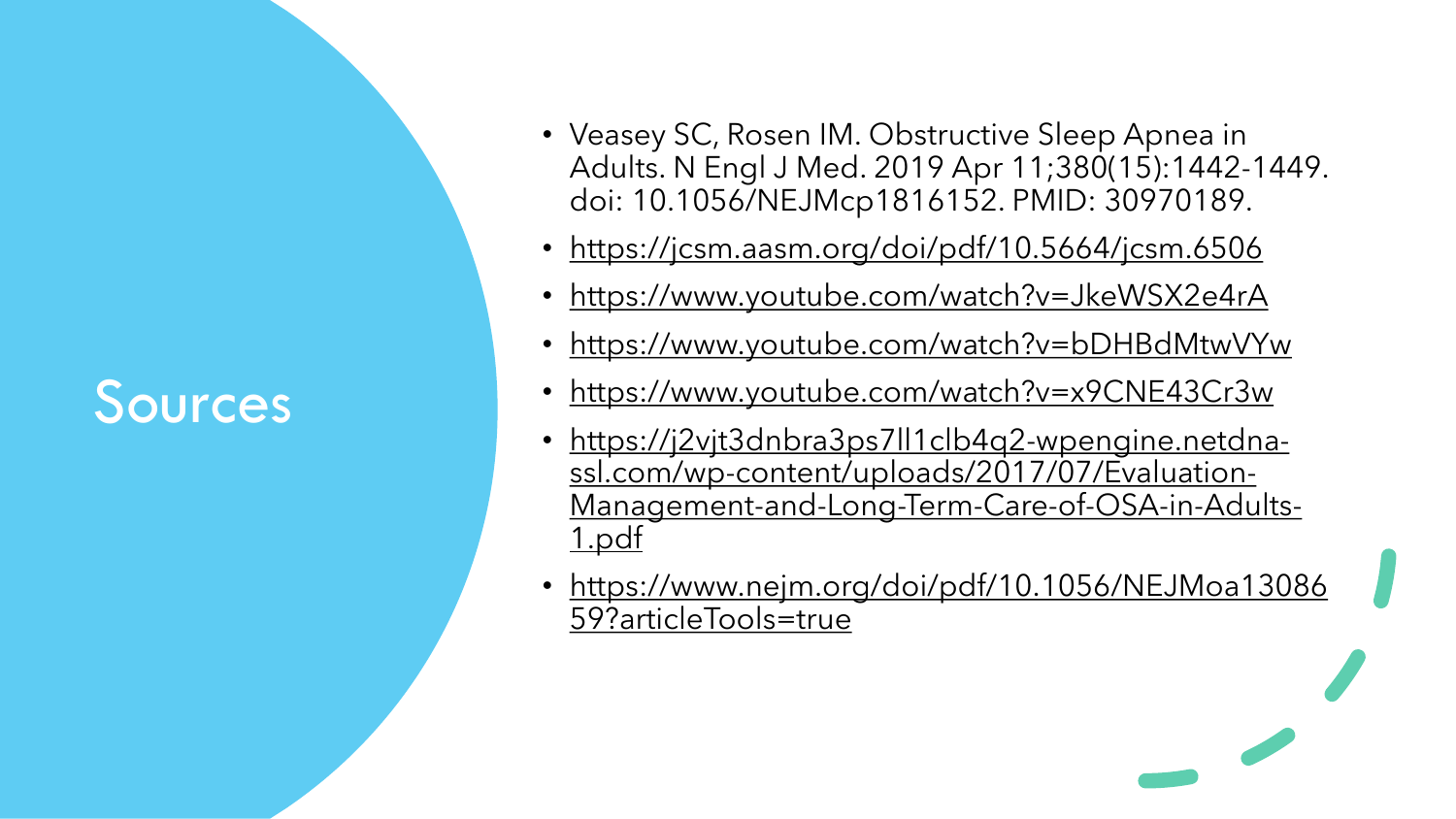#### **Sources**

- Veasey SC, Rosen IM. Obstructive Sleep Apnea in Adults. N Engl J Med. 2019 Apr 11;380(15):1442 -1449. doi: 10.1056/NEJMcp1816152. PMID: 30970189.
- <https://jcsm.aasm.org/doi/pdf/10.5664/jcsm.6506>
- <https://www.youtube.com/watch?v=JkeWSX2e4rA>
- <https://www.youtube.com/watch?v=bDHBdMtwVYw>
- <https://www.youtube.com/watch?v=x9CNE43Cr3w>
- https://j2vjt3dnbra3ps7ll1clb4q2-wpengine.netdnassl.com/wp-content/uploads/2017/07/Evaluation-[Management-and-Long-Term-Care-of-OSA-in-Adults](https://j2vjt3dnbra3ps7ll1clb4q2-wpengine.netdna-ssl.com/wp-content/uploads/2017/07/Evaluation-Management-and-Long-Term-Care-of-OSA-in-Adults-1.pdf) - 1.pdf
- [https://www.nejm.org/doi/pdf/10.1056/NEJMoa13086](https://www.nejm.org/doi/pdf/10.1056/NEJMoa1308659?articleTools=true) 59?articleTools=true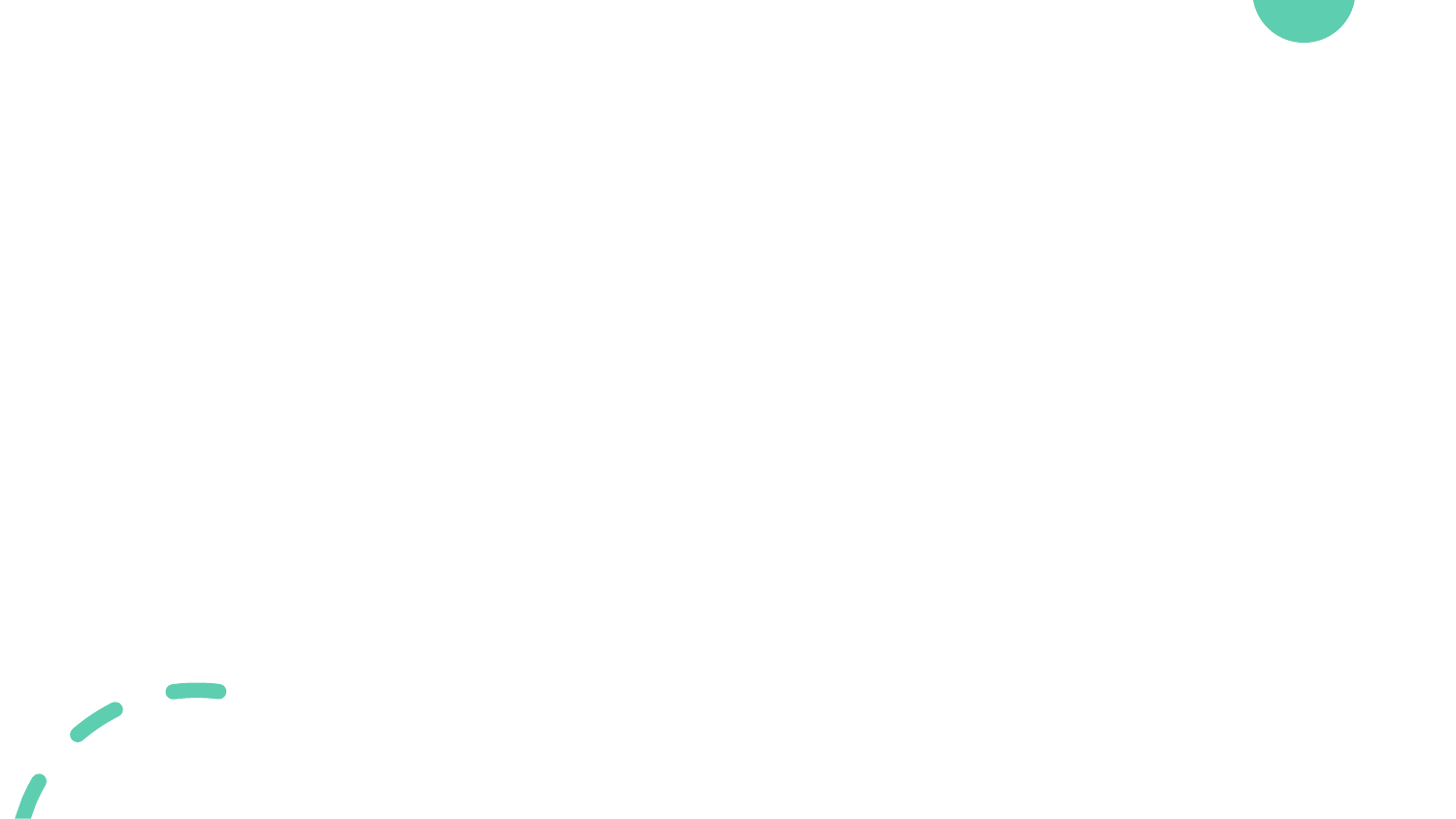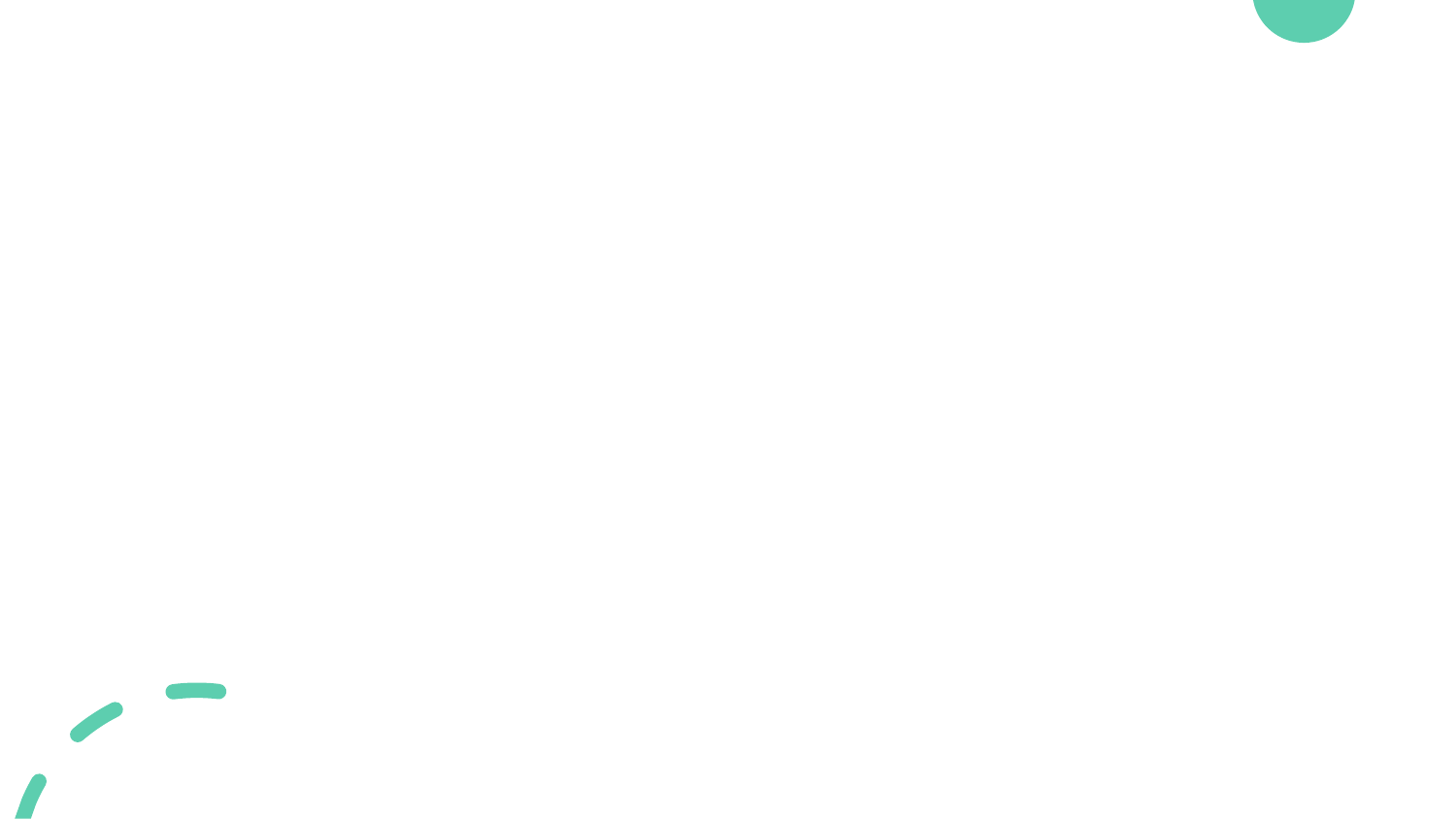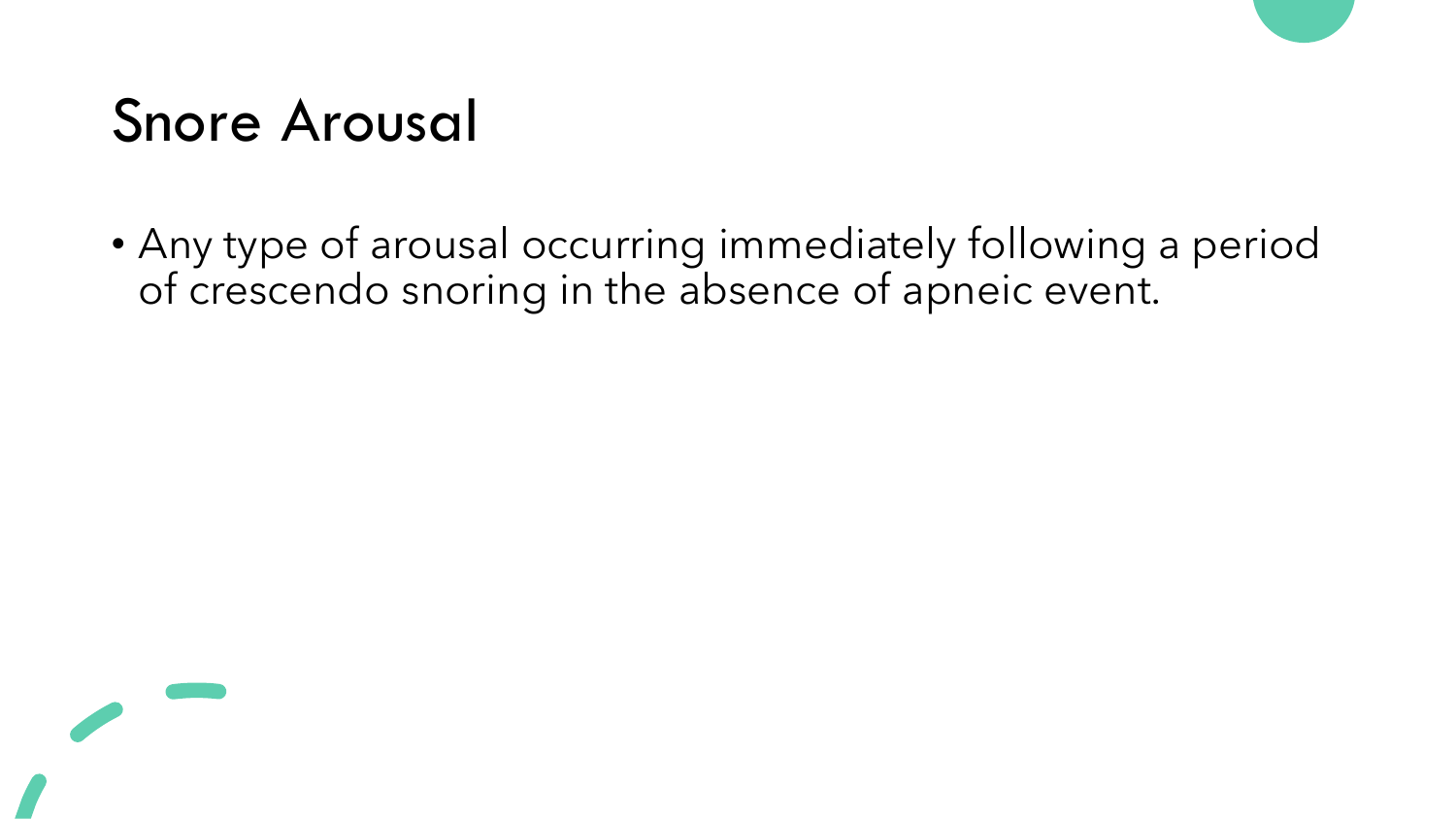#### Snore Arousal

• Any type of arousal occurring immediately following a period of crescendo snoring in the absence of apneic event.